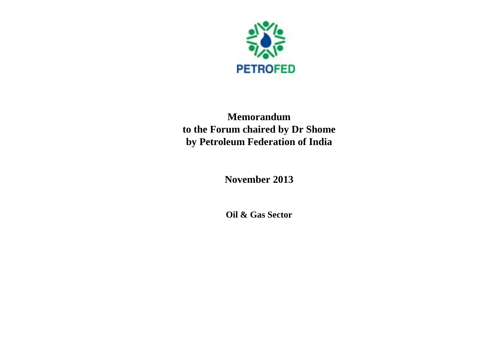

## **Memorandum to the Forum chaired by Dr Shome by Petroleum Federation of India**

**November 2013**

**Oil & Gas Sector**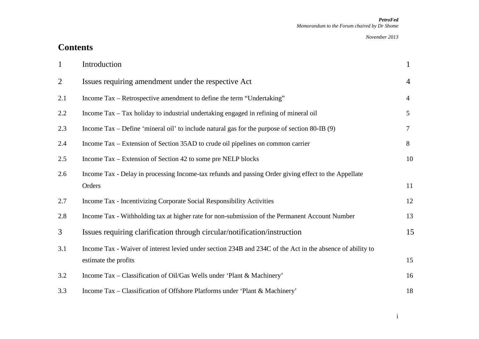## **Contents**

| $\mathbf{1}$ | Introduction                                                                                               | $\mathbf{1}$   |
|--------------|------------------------------------------------------------------------------------------------------------|----------------|
| 2            | Issues requiring amendment under the respective Act                                                        | $\overline{4}$ |
| 2.1          | Income Tax – Retrospective amendment to define the term "Undertaking"                                      | $\overline{4}$ |
| 2.2          | Income Tax – Tax holiday to industrial undertaking engaged in refining of mineral oil                      | 5 <sup>5</sup> |
| 2.3          | Income Tax – Define 'mineral oil' to include natural gas for the purpose of section $80$ -IB $(9)$         | $\tau$         |
| 2.4          | Income Tax – Extension of Section 35AD to crude oil pipelines on common carrier                            | 8              |
| 2.5          | Income Tax – Extension of Section 42 to some pre NELP blocks                                               | 10             |
| 2.6          | Income Tax - Delay in processing Income-tax refunds and passing Order giving effect to the Appellate       |                |
|              | Orders                                                                                                     | 11             |
| 2.7          | Income Tax - Incentivizing Corporate Social Responsibility Activities                                      | 12             |
| 2.8          | Income Tax - Withholding tax at higher rate for non-submission of the Permanent Account Number             | 13             |
| 3            | Issues requiring clarification through circular/notification/instruction                                   | 15             |
| 3.1          | Income Tax - Waiver of interest levied under section 234B and 234C of the Act in the absence of ability to |                |
|              | estimate the profits                                                                                       | 15             |
| 3.2          | Income Tax – Classification of Oil/Gas Wells under 'Plant & Machinery'                                     | 16             |
| 3.3          | Income Tax – Classification of Offshore Platforms under 'Plant & Machinery'                                | 18             |

i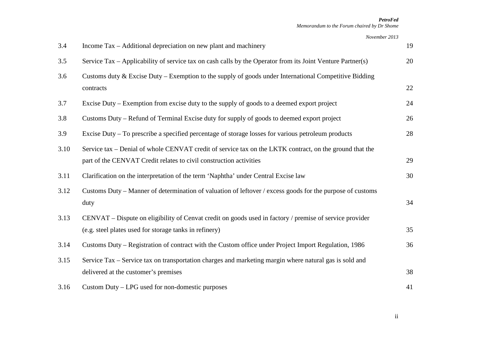*November 2013*

| 3.4  | Income Tax – Additional depreciation on new plant and machinery                                                                                                               | 19 |
|------|-------------------------------------------------------------------------------------------------------------------------------------------------------------------------------|----|
| 3.5  | Service Tax – Applicability of service tax on cash calls by the Operator from its Joint Venture Partner(s)                                                                    | 20 |
| 3.6  | Customs duty & Excise Duty – Exemption to the supply of goods under International Competitive Bidding<br>contracts                                                            | 22 |
| 3.7  | Excise Duty – Exemption from excise duty to the supply of goods to a deemed export project                                                                                    | 24 |
| 3.8  | Customs Duty – Refund of Terminal Excise duty for supply of goods to deemed export project                                                                                    | 26 |
| 3.9  | Excise Duty – To prescribe a specified percentage of storage losses for various petroleum products                                                                            | 28 |
| 3.10 | Service tax – Denial of whole CENVAT credit of service tax on the LKTK contract, on the ground that the<br>part of the CENVAT Credit relates to civil construction activities | 29 |
| 3.11 | Clarification on the interpretation of the term 'Naphtha' under Central Excise law                                                                                            | 30 |
| 3.12 | Customs Duty – Manner of determination of valuation of leftover / excess goods for the purpose of customs<br>duty                                                             | 34 |
| 3.13 | CENVAT – Dispute on eligibility of Cenvat credit on goods used in factory / premise of service provider                                                                       |    |
|      | (e.g. steel plates used for storage tanks in refinery)                                                                                                                        | 35 |
| 3.14 | Customs Duty – Registration of contract with the Custom office under Project Import Regulation, 1986                                                                          | 36 |
| 3.15 | Service Tax – Service tax on transportation charges and marketing margin where natural gas is sold and                                                                        |    |
|      | delivered at the customer's premises                                                                                                                                          | 38 |
| 3.16 | Custom Duty – LPG used for non-domestic purposes                                                                                                                              | 41 |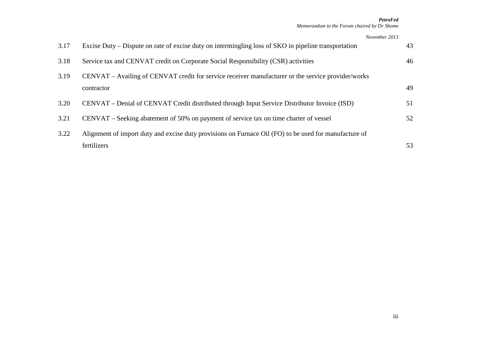#### *November 2013*

| 3.17 | Excise Duty – Dispute on rate of excise duty on intermingling loss of SKO in pipeline transportation  | 43 |
|------|-------------------------------------------------------------------------------------------------------|----|
| 3.18 | Service tax and CENVAT credit on Corporate Social Responsibility (CSR) activities                     | 46 |
| 3.19 | CENVAT – Availing of CENVAT credit for service receiver manufacturer or the service provider/works    |    |
|      | contractor                                                                                            | 49 |
| 3.20 | CENVAT – Denial of CENVAT Credit distributed through Input Service Distributor Invoice (ISD)          | 51 |
| 3.21 | CENVAT – Seeking abatement of 50% on payment of service tax on time charter of vessel                 | 52 |
| 3.22 | Alignment of import duty and excise duty provisions on Furnace Oil (FO) to be used for manufacture of |    |
|      | fertilizers                                                                                           | 53 |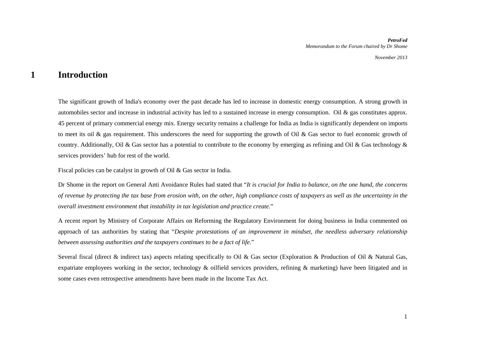### **1 Introduction**

The significant growth of India's economy over the past decade has led to increase in domestic energy consumption. A strong growth in automobiles sector and increase in industrial activity has led to a sustained increase in energy consumption. Oil & gas constitutes approx. 45 percent of primary commercial energy mix. Energy security remains a challenge for India as India is significantly dependent on imports to meet its oil & gas requirement. This underscores the need for supporting the growth of Oil & Gas sector to fuel economic growth of country. Additionally, Oil & Gas sector has a potential to contribute to the economy by emerging as refining and Oil & Gas technology & services providers' hub for rest of the world.

Fiscal policies can be catalyst in growth of Oil & Gas sector in India.

Dr Shome in the report on General Anti Avoidance Rules had stated that "*It is crucial for India to balance, on the one hand, the concerns of revenue by protecting the tax base from erosion with, on the other, high compliance costs of taxpayers as well as the uncertainty in the overall investment environment that instability in tax legislation and practice create.*"

A recent report by Ministry of Corporate Affairs on Reforming the Regulatory Environment for doing business in India commented on approach of tax authorities by stating that "*Despite protestations of an improvement in mindset, the needless adversary relationship between assessing authorities and the taxpayers continues to be a fact of life.*"

Several fiscal (direct & indirect tax) aspects relating specifically to Oil & Gas sector (Exploration & Production of Oil & Natural Gas, expatriate employees working in the sector, technology & oilfield services providers, refining & marketing) have been litigated and in some cases even retrospective amendments have been made in the Income Tax Act.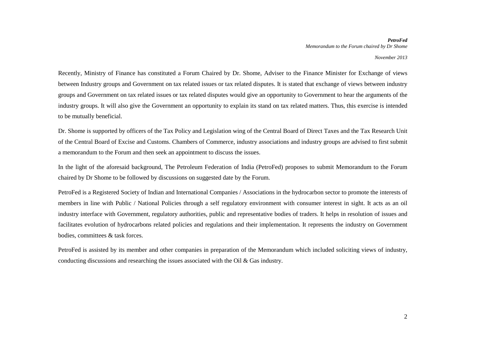Recently, Ministry of Finance has constituted a Forum Chaired by Dr. Shome, Adviser to the Finance Minister for Exchange of views between Industry groups and Government on tax related issues or tax related disputes. It is stated that exchange of views between industry groups and Government on tax related issues or tax related disputes would give an opportunity to Government to hear the arguments of the industry groups. It will also give the Government an opportunity to explain its stand on tax related matters. Thus, this exercise is intended to be mutually beneficial.

Dr. Shome is supported by officers of the Tax Policy and Legislation wing of the Central Board of Direct Taxes and the Tax Research Unit of the Central Board of Excise and Customs. Chambers of Commerce, industry associations and industry groups are advised to first submit a memorandum to the Forum and then seek an appointment to discuss the issues.

In the light of the aforesaid background, The Petroleum Federation of India (PetroFed) proposes to submit Memorandum to the Forum chaired by Dr Shome to be followed by discussions on suggested date by the Forum.

PetroFed is a Registered Society of Indian and International Companies / Associations in the hydrocarbon sector to promote the interests of members in line with Public / National Policies through a self regulatory environment with consumer interest in sight. It acts as an oil industry interface with Government, regulatory authorities, public and representative bodies of traders. It helps in resolution of issues and facilitates evolution of hydrocarbons related policies and regulations and their implementation. It represents the industry on Government bodies, committees & task forces.

PetroFed is assisted by its member and other companies in preparation of the Memorandum which included soliciting views of industry, conducting discussions and researching the issues associated with the Oil & Gas industry.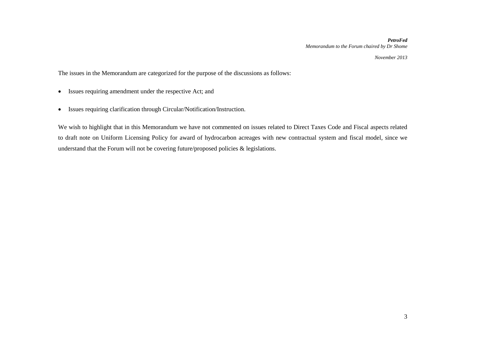*November 2013*

The issues in the Memorandum are categorized for the purpose of the discussions as follows:

- Issues requiring amendment under the respective Act; and
- Issues requiring clarification through Circular/Notification/Instruction.

We wish to highlight that in this Memorandum we have not commented on issues related to Direct Taxes Code and Fiscal aspects related to draft note on Uniform Licensing Policy for award of hydrocarbon acreages with new contractual system and fiscal model, since we understand that the Forum will not be covering future/proposed policies & legislations.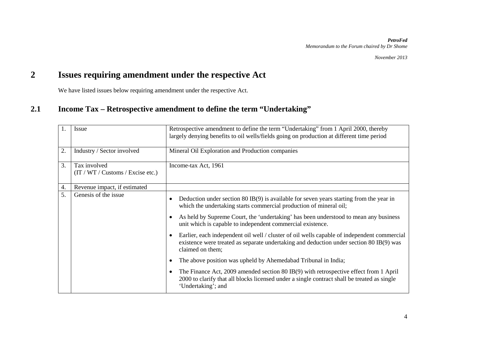## **2 Issues requiring amendment under the respective Act**

We have listed issues below requiring amendment under the respective Act.

### **2.1 Income Tax – Retrospective amendment to define the term "Undertaking"**

|    | <b>Issue</b>                                       | Retrospective amendment to define the term "Undertaking" from 1 April 2000, thereby<br>largely denying benefits to oil wells/fields going on production at different time period                                                                                                                                           |
|----|----------------------------------------------------|----------------------------------------------------------------------------------------------------------------------------------------------------------------------------------------------------------------------------------------------------------------------------------------------------------------------------|
| 2. | Industry / Sector involved                         | Mineral Oil Exploration and Production companies                                                                                                                                                                                                                                                                           |
| 3. | Tax involved<br>(T / WT / Customs / Exercise etc.) | Income-tax Act, 1961                                                                                                                                                                                                                                                                                                       |
| 4. | Revenue impact, if estimated                       |                                                                                                                                                                                                                                                                                                                            |
| 5. | Genesis of the issue                               | Deduction under section $80$ IB(9) is available for seven years starting from the year in<br>٠<br>which the undertaking starts commercial production of mineral oil;<br>As held by Supreme Court, the 'undertaking' has been understood to mean any business<br>unit which is capable to independent commercial existence. |
|    |                                                    | Earlier, each independent oil well / cluster of oil wells capable of independent commercial<br>existence were treated as separate undertaking and deduction under section 80 IB(9) was<br>claimed on them;                                                                                                                 |
|    |                                                    | The above position was upheld by Ahemedabad Tribunal in India;                                                                                                                                                                                                                                                             |
|    |                                                    | The Finance Act, 2009 amended section 80 IB(9) with retrospective effect from 1 April<br>$\bullet$<br>2000 to clarify that all blocks licensed under a single contract shall be treated as single<br>'Undertaking'; and                                                                                                    |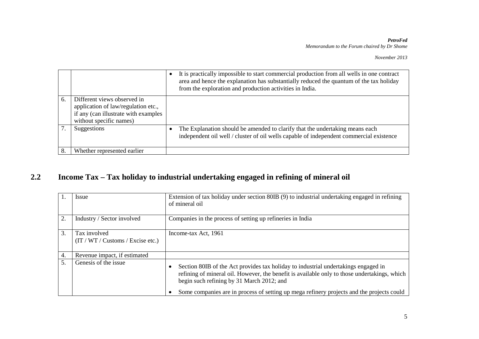|    |                                                                                                                                       | It is practically impossible to start commercial production from all wells in one contract<br>area and hence the explanation has substantially reduced the quantum of the tax holiday<br>from the exploration and production activities in India. |
|----|---------------------------------------------------------------------------------------------------------------------------------------|---------------------------------------------------------------------------------------------------------------------------------------------------------------------------------------------------------------------------------------------------|
| 6. | Different views observed in<br>application of law/regulation etc.,<br>if any (can illustrate with examples<br>without specific names) |                                                                                                                                                                                                                                                   |
|    | Suggestions                                                                                                                           | The Explanation should be amended to clarify that the undertaking means each<br>independent oil well / cluster of oil wells capable of independent commercial existence                                                                           |
| 8. | Whether represented earlier                                                                                                           |                                                                                                                                                                                                                                                   |

## **2.2 Income Tax – Tax holiday to industrial undertaking engaged in refining of mineral oil**

|    | Issue                                               | Extension of tax holiday under section 80IB (9) to industrial undertaking engaged in refining<br>of mineral oil                                                                                                                                                                                                              |
|----|-----------------------------------------------------|------------------------------------------------------------------------------------------------------------------------------------------------------------------------------------------------------------------------------------------------------------------------------------------------------------------------------|
| 2. | Industry / Sector involved                          | Companies in the process of setting up refineries in India                                                                                                                                                                                                                                                                   |
| 3. | Tax involved<br>(IT / WT / Customs / Exercise etc.) | Income-tax Act, 1961                                                                                                                                                                                                                                                                                                         |
| 4. | Revenue impact, if estimated                        |                                                                                                                                                                                                                                                                                                                              |
| 5. | Genesis of the issue                                | Section 80IB of the Act provides tax holiday to industrial undertakings engaged in<br>refining of mineral oil. However, the benefit is available only to those undertakings, which<br>begin such refining by 31 March 2012; and<br>Some companies are in process of setting up mega refinery projects and the projects could |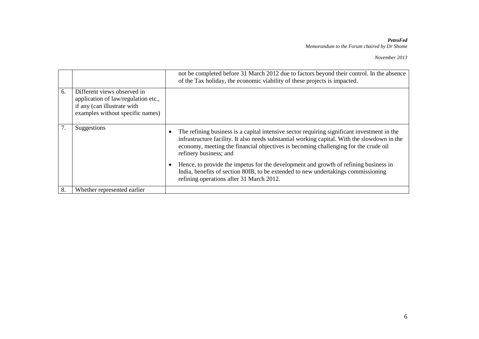#### *November 2013*

|    |                                                                                                                                       | not be completed before 31 March 2012 due to factors beyond their control. In the absence<br>of the Tax holiday, the economic viability of these projects is impacted.                                                                                                                                       |
|----|---------------------------------------------------------------------------------------------------------------------------------------|--------------------------------------------------------------------------------------------------------------------------------------------------------------------------------------------------------------------------------------------------------------------------------------------------------------|
| 6. | Different views observed in<br>application of law/regulation etc.,<br>if any (can illustrate with<br>examples without specific names) |                                                                                                                                                                                                                                                                                                              |
| 7. | Suggestions                                                                                                                           | The refining business is a capital intensive sector requiring significant investment in the<br>infrastructure facility. It also needs substantial working capital. With the slowdown in the<br>economy, meeting the financial objectives is becoming challenging for the crude oil<br>refinery business; and |
|    |                                                                                                                                       | Hence, to provide the impetus for the development and growth of refining business in<br>India, benefits of section 80IB, to be extended to new undertakings commissioning<br>refining operations after 31 March 2012.                                                                                        |
| 8. | Whether represented earlier                                                                                                           |                                                                                                                                                                                                                                                                                                              |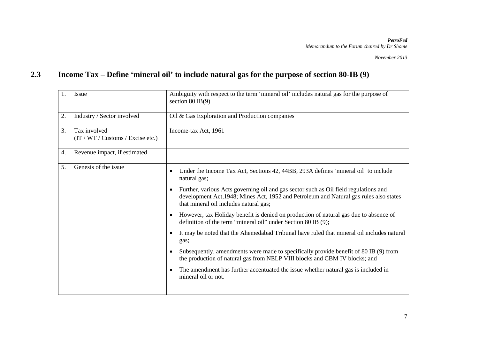## **2.3 Income Tax – Define 'mineral oil' to include natural gas for the purpose of section 80-IB (9)**

| 1. | <b>Issue</b>                                     | Ambiguity with respect to the term 'mineral oil' includes natural gas for the purpose of<br>section $80$ IB(9)                                                                                                           |
|----|--------------------------------------------------|--------------------------------------------------------------------------------------------------------------------------------------------------------------------------------------------------------------------------|
| 2. | Industry / Sector involved                       | Oil & Gas Exploration and Production companies                                                                                                                                                                           |
| 3. | Tax involved<br>(T / WT / Customs / Excise etc.) | Income-tax Act, 1961                                                                                                                                                                                                     |
| 4. | Revenue impact, if estimated                     |                                                                                                                                                                                                                          |
| 5. | Genesis of the issue                             | Under the Income Tax Act, Sections 42, 44BB, 293A defines 'mineral oil' to include<br>$\bullet$<br>natural gas;                                                                                                          |
|    |                                                  | Further, various Acts governing oil and gas sector such as Oil field regulations and<br>development Act, 1948; Mines Act, 1952 and Petroleum and Natural gas rules also states<br>that mineral oil includes natural gas; |
|    |                                                  | However, tax Holiday benefit is denied on production of natural gas due to absence of<br>definition of the term "mineral oil" under Section 80 IB (9);                                                                   |
|    |                                                  | It may be noted that the Ahemedabad Tribunal have ruled that mineral oil includes natural<br>gas;                                                                                                                        |
|    |                                                  | Subsequently, amendments were made to specifically provide benefit of 80 IB (9) from<br>the production of natural gas from NELP VIII blocks and CBM IV blocks; and                                                       |
|    |                                                  | The amendment has further accentuated the issue whether natural gas is included in<br>mineral oil or not.                                                                                                                |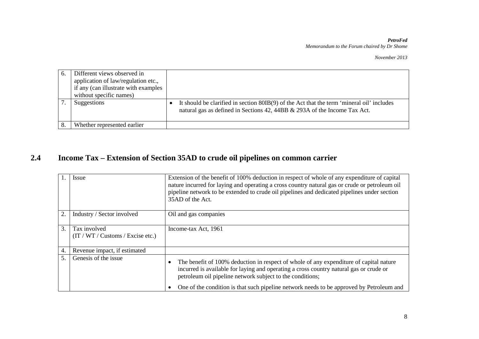*November 2013*

| b. | Different views observed in<br>application of law/regulation etc.,<br>if any (can illustrate with examples<br>without specific names) |                                                                                                                                                                        |
|----|---------------------------------------------------------------------------------------------------------------------------------------|------------------------------------------------------------------------------------------------------------------------------------------------------------------------|
|    | Suggestions                                                                                                                           | It should be clarified in section 80IB(9) of the Act that the term 'mineral oil' includes<br>natural gas as defined in Sections 42, 44BB & 293A of the Income Tax Act. |
|    | Whether represented earlier                                                                                                           |                                                                                                                                                                        |

## **2.4 Income Tax – Extension of Section 35AD to crude oil pipelines on common carrier**

|    | <i>Issue</i>                                      | Extension of the benefit of 100% deduction in respect of whole of any expenditure of capital<br>nature incurred for laying and operating a cross country natural gas or crude or petroleum oil<br>pipeline network to be extended to crude oil pipelines and dedicated pipelines under section<br>35AD of the Act.                        |
|----|---------------------------------------------------|-------------------------------------------------------------------------------------------------------------------------------------------------------------------------------------------------------------------------------------------------------------------------------------------------------------------------------------------|
| 2. | Industry / Sector involved                        | Oil and gas companies                                                                                                                                                                                                                                                                                                                     |
| 3. | Tax involved<br>(IT / WT / Customs / Excise etc.) | Income-tax Act, 1961                                                                                                                                                                                                                                                                                                                      |
| 4. | Revenue impact, if estimated                      |                                                                                                                                                                                                                                                                                                                                           |
|    | Genesis of the issue                              | The benefit of 100% deduction in respect of whole of any expenditure of capital nature<br>incurred is available for laying and operating a cross country natural gas or crude or<br>petroleum oil pipeline network subject to the conditions;<br>One of the condition is that such pipeline network needs to be approved by Petroleum and |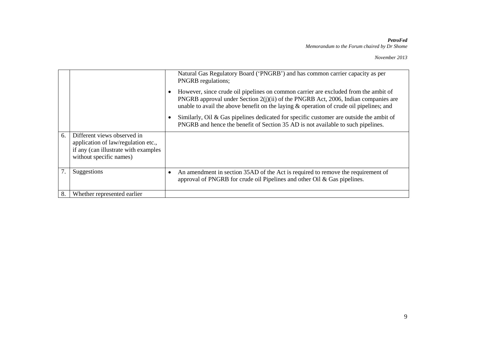|    |                                                                                                                                       | Natural Gas Regulatory Board ('PNGRB') and has common carrier capacity as per<br><b>PNGRB</b> regulations;                                                                                                                                                                |
|----|---------------------------------------------------------------------------------------------------------------------------------------|---------------------------------------------------------------------------------------------------------------------------------------------------------------------------------------------------------------------------------------------------------------------------|
|    |                                                                                                                                       | However, since crude oil pipelines on common carrier are excluded from the ambit of<br>PNGRB approval under Section $2(j)(ii)$ of the PNGRB Act, 2006, Indian companies are<br>unable to avail the above benefit on the laying $\&$ operation of crude oil pipelines; and |
|    |                                                                                                                                       | Similarly, Oil & Gas pipelines dedicated for specific customer are outside the ambit of<br>PNGRB and hence the benefit of Section 35 AD is not available to such pipelines.                                                                                               |
| 6. | Different views observed in<br>application of law/regulation etc.,<br>if any (can illustrate with examples<br>without specific names) |                                                                                                                                                                                                                                                                           |
|    | Suggestions                                                                                                                           | An amendment in section 35AD of the Act is required to remove the requirement of<br>٠<br>approval of PNGRB for crude oil Pipelines and other Oil & Gas pipelines.                                                                                                         |
| 8. | Whether represented earlier                                                                                                           |                                                                                                                                                                                                                                                                           |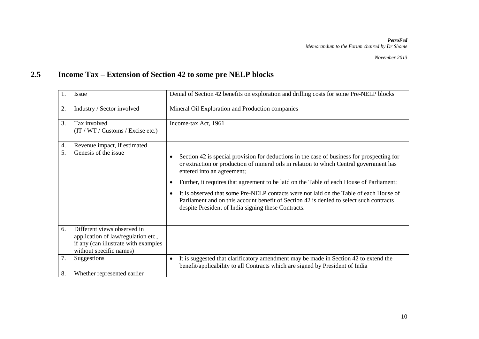## **2.5 Income Tax – Extension of Section 42 to some pre NELP blocks**

| 1. | Issue                                            | Denial of Section 42 benefits on exploration and drilling costs for some Pre-NELP blocks                                                                                                                                                                                                                                                                                                                                                                                                                                                                                                   |
|----|--------------------------------------------------|--------------------------------------------------------------------------------------------------------------------------------------------------------------------------------------------------------------------------------------------------------------------------------------------------------------------------------------------------------------------------------------------------------------------------------------------------------------------------------------------------------------------------------------------------------------------------------------------|
| 2. | Industry / Sector involved                       | Mineral Oil Exploration and Production companies                                                                                                                                                                                                                                                                                                                                                                                                                                                                                                                                           |
| 3. | Tax involved<br>(T / WT / Customs / Excise etc.) | Income-tax Act, 1961                                                                                                                                                                                                                                                                                                                                                                                                                                                                                                                                                                       |
| 4. | Revenue impact, if estimated                     |                                                                                                                                                                                                                                                                                                                                                                                                                                                                                                                                                                                            |
| 5. | Genesis of the issue                             | Section 42 is special provision for deductions in the case of business for prospecting for<br>٠<br>or extraction or production of mineral oils in relation to which Central government has<br>entered into an agreement;<br>Further, it requires that agreement to be laid on the Table of each House of Parliament;<br>$\bullet$<br>It is observed that some Pre-NELP contacts were not laid on the Table of each House of<br>$\bullet$<br>Parliament and on this account benefit of Section 42 is denied to select such contracts<br>despite President of India signing these Contracts. |
| 6. | Different views observed in                      |                                                                                                                                                                                                                                                                                                                                                                                                                                                                                                                                                                                            |
|    | application of law/regulation etc.,              |                                                                                                                                                                                                                                                                                                                                                                                                                                                                                                                                                                                            |
|    | if any (can illustrate with examples             |                                                                                                                                                                                                                                                                                                                                                                                                                                                                                                                                                                                            |
|    | without specific names)                          |                                                                                                                                                                                                                                                                                                                                                                                                                                                                                                                                                                                            |
| 7. | Suggestions                                      | It is suggested that clarificatory amendment may be made in Section 42 to extend the<br>٠<br>benefit/applicability to all Contracts which are signed by President of India                                                                                                                                                                                                                                                                                                                                                                                                                 |
| 8. | Whether represented earlier                      |                                                                                                                                                                                                                                                                                                                                                                                                                                                                                                                                                                                            |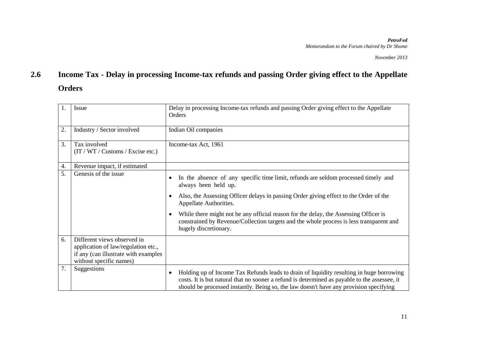## **2.6 Income Tax - Delay in processing Income-tax refunds and passing Order giving effect to the Appellate Orders**

| 1. | Issue                                                                                                                                 | Delay in processing Income-tax refunds and passing Order giving effect to the Appellate<br>Orders                                                                                                                                                                                                                                                                                                                                         |
|----|---------------------------------------------------------------------------------------------------------------------------------------|-------------------------------------------------------------------------------------------------------------------------------------------------------------------------------------------------------------------------------------------------------------------------------------------------------------------------------------------------------------------------------------------------------------------------------------------|
| 2. | Industry / Sector involved                                                                                                            | Indian Oil companies                                                                                                                                                                                                                                                                                                                                                                                                                      |
| 3. | Tax involved<br>(T / WT / Customs / Excise etc.)                                                                                      | Income-tax Act, 1961                                                                                                                                                                                                                                                                                                                                                                                                                      |
| 4. | Revenue impact, if estimated                                                                                                          |                                                                                                                                                                                                                                                                                                                                                                                                                                           |
| 5. | Genesis of the issue                                                                                                                  | In the absence of any specific time limit, refunds are seldom processed timely and<br>always been held up.<br>Also, the Assessing Officer delays in passing Order giving effect to the Order of the<br>Appellate Authorities.<br>While there might not be any official reason for the delay, the Assessing Officer is<br>constrained by Revenue/Collection targets and the whole process is less transparent and<br>hugely discretionary. |
| 6. | Different views observed in<br>application of law/regulation etc.,<br>if any (can illustrate with examples<br>without specific names) |                                                                                                                                                                                                                                                                                                                                                                                                                                           |
| 7. | Suggestions                                                                                                                           | Holding up of Income Tax Refunds leads to drain of liquidity resulting in huge borrowing<br>$\bullet$<br>costs. It is but natural that no sooner a refund is determined as payable to the assessee, it<br>should be processed instantly. Being so, the law doesn't have any provision specifying                                                                                                                                          |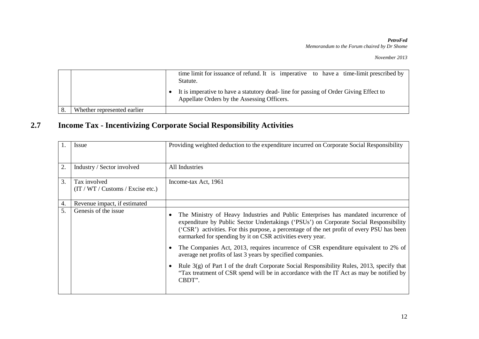*November 2013*

|                             | time limit for issuance of refund. It is imperative to have a time-limit prescribed by<br>Statute.<br>It is imperative to have a statutory dead-line for passing of Order Giving Effect to<br>Appellate Orders by the Assessing Officers. |
|-----------------------------|-------------------------------------------------------------------------------------------------------------------------------------------------------------------------------------------------------------------------------------------|
| Whether represented earlier |                                                                                                                                                                                                                                           |

## **2.7 Income Tax - Incentivizing Corporate Social Responsibility Activities**

| 1.               | Issue                                              | Providing weighted deduction to the expenditure incurred on Corporate Social Responsibility                                                                                                                                                                                                                                                                                                                                                                                                                                                                                                   |
|------------------|----------------------------------------------------|-----------------------------------------------------------------------------------------------------------------------------------------------------------------------------------------------------------------------------------------------------------------------------------------------------------------------------------------------------------------------------------------------------------------------------------------------------------------------------------------------------------------------------------------------------------------------------------------------|
| 2.               | Industry / Sector involved                         | All Industries                                                                                                                                                                                                                                                                                                                                                                                                                                                                                                                                                                                |
| $\overline{3}$ . | Tax involved<br>(T / WT / Customs / Exercise etc.) | Income-tax Act, 1961                                                                                                                                                                                                                                                                                                                                                                                                                                                                                                                                                                          |
| 4.               | Revenue impact, if estimated                       |                                                                                                                                                                                                                                                                                                                                                                                                                                                                                                                                                                                               |
| 5.               | Genesis of the issue                               | The Ministry of Heavy Industries and Public Enterprises has mandated incurrence of<br>expenditure by Public Sector Undertakings ('PSUs') on Corporate Social Responsibility<br>('CSR') activities. For this purpose, a percentage of the net profit of every PSU has been<br>earmarked for spending by it on CSR activities every year.<br>The Companies Act, 2013, requires incurrence of CSR expenditure equivalent to 2% of<br>average net profits of last 3 years by specified companies.<br>Rule $3(g)$ of Part I of the draft Corporate Social Responsibility Rules, 2013, specify that |
|                  |                                                    | "Tax treatment of CSR spend will be in accordance with the IT Act as may be notified by<br>CBDT".                                                                                                                                                                                                                                                                                                                                                                                                                                                                                             |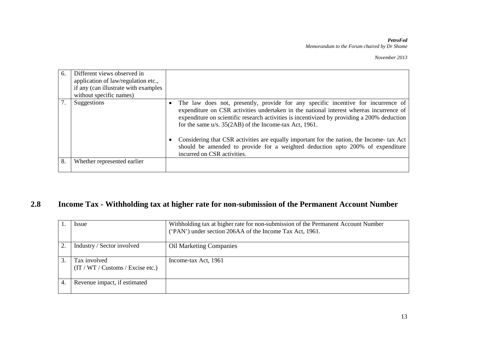*November 2013*

| 6. | Different views observed in<br>application of law/regulation etc., |                                                                                                                                                                                                                                                                                                                                          |
|----|--------------------------------------------------------------------|------------------------------------------------------------------------------------------------------------------------------------------------------------------------------------------------------------------------------------------------------------------------------------------------------------------------------------------|
|    |                                                                    |                                                                                                                                                                                                                                                                                                                                          |
|    | if any (can illustrate with examples                               |                                                                                                                                                                                                                                                                                                                                          |
|    | without specific names)                                            |                                                                                                                                                                                                                                                                                                                                          |
|    | Suggestions                                                        | The law does not, presently, provide for any specific incentive for incurrence of<br>expenditure on CSR activities undertaken in the national interest whereas incurrence of<br>expenditure on scientific research activities is incentivized by providing a 200% deduction<br>for the same $u/s$ . 35(2AB) of the Income-tax Act, 1961. |
|    |                                                                    | Considering that CSR activities are equally important for the nation, the Income- tax Act<br>should be amended to provide for a weighted deduction upto 200% of expenditure<br>incurred on CSR activities.                                                                                                                               |
| 8  | Whether represented earlier                                        |                                                                                                                                                                                                                                                                                                                                          |

## **2.8 Income Tax - Withholding tax at higher rate for non-submission of the Permanent Account Number**

|                | <i>Issue</i>                                     | Withholding tax at higher rate for non-submission of the Permanent Account Number<br>('PAN') under section 206AA of the Income Tax Act, 1961. |
|----------------|--------------------------------------------------|-----------------------------------------------------------------------------------------------------------------------------------------------|
| $\overline{2}$ | Industry / Sector involved                       | <b>Oil Marketing Companies</b>                                                                                                                |
| 3              | Tax involved<br>(T / WT / Customs / Excise etc.) | Income-tax Act, 1961                                                                                                                          |
|                | Revenue impact, if estimated                     |                                                                                                                                               |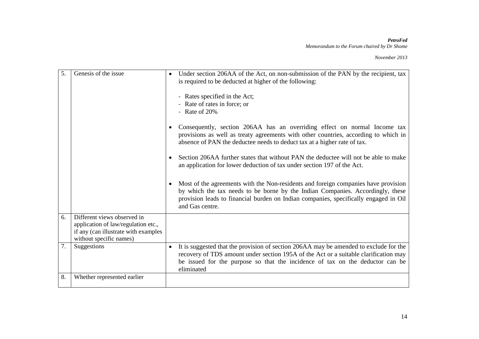#### *November 2013*

| 5. | Genesis of the issue                                                                                                                  | Under section 206AA of the Act, on non-submission of the PAN by the recipient, tax<br>is required to be deducted at higher of the following:<br>- Rates specified in the Act;<br>- Rate of rates in force; or<br>- Rate of $20%$<br>Consequently, section 206AA has an overriding effect on normal Income tax<br>provisions as well as treaty agreements with other countries, according to which in<br>absence of PAN the deductee needs to deduct tax at a higher rate of tax.<br>Section 206AA further states that without PAN the deductee will not be able to make<br>an application for lower deduction of tax under section 197 of the Act.<br>Most of the agreements with the Non-residents and foreign companies have provision<br>by which the tax needs to be borne by the Indian Companies. Accordingly, these<br>provision leads to financial burden on Indian companies, specifically engaged in Oil |
|----|---------------------------------------------------------------------------------------------------------------------------------------|--------------------------------------------------------------------------------------------------------------------------------------------------------------------------------------------------------------------------------------------------------------------------------------------------------------------------------------------------------------------------------------------------------------------------------------------------------------------------------------------------------------------------------------------------------------------------------------------------------------------------------------------------------------------------------------------------------------------------------------------------------------------------------------------------------------------------------------------------------------------------------------------------------------------|
|    |                                                                                                                                       | and Gas centre.                                                                                                                                                                                                                                                                                                                                                                                                                                                                                                                                                                                                                                                                                                                                                                                                                                                                                                    |
| 6. | Different views observed in<br>application of law/regulation etc.,<br>if any (can illustrate with examples<br>without specific names) |                                                                                                                                                                                                                                                                                                                                                                                                                                                                                                                                                                                                                                                                                                                                                                                                                                                                                                                    |
| 7. | Suggestions                                                                                                                           | It is suggested that the provision of section 206AA may be amended to exclude for the<br>recovery of TDS amount under section 195A of the Act or a suitable clarification may<br>be issued for the purpose so that the incidence of tax on the deductor can be<br>eliminated                                                                                                                                                                                                                                                                                                                                                                                                                                                                                                                                                                                                                                       |
| 8. | Whether represented earlier                                                                                                           |                                                                                                                                                                                                                                                                                                                                                                                                                                                                                                                                                                                                                                                                                                                                                                                                                                                                                                                    |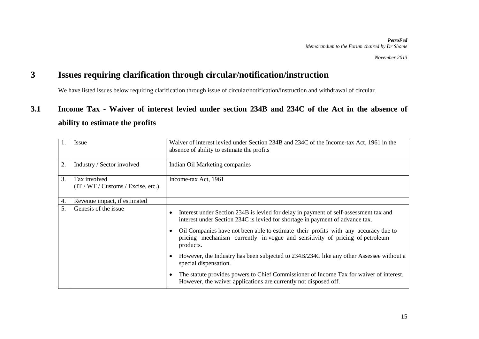### **3 Issues requiring clarification through circular/notification/instruction**

We have listed issues below requiring clarification through issue of circular/notification/instruction and withdrawal of circular.

## **3.1 Income Tax - Waiver of interest levied under section 234B and 234C of the Act in the absence of ability to estimate the profits**

| 1. | Issue                                             | Waiver of interest levied under Section 234B and 234C of the Income-tax Act, 1961 in the<br>absence of ability to estimate the profits                                           |
|----|---------------------------------------------------|----------------------------------------------------------------------------------------------------------------------------------------------------------------------------------|
| 2. | Industry / Sector involved                        | Indian Oil Marketing companies                                                                                                                                                   |
| 3. | Tax involved<br>(T / WT / Customs / Excise, etc.) | Income-tax Act, 1961                                                                                                                                                             |
| 4. | Revenue impact, if estimated                      |                                                                                                                                                                                  |
| 5. | Genesis of the issue                              | Interest under Section 234B is levied for delay in payment of self-assessment tax and<br>interest under Section 234C is levied for shortage in payment of advance tax.           |
|    |                                                   | Oil Companies have not been able to estimate their profits with any accuracy due to<br>pricing mechanism currently in vogue and sensitivity of pricing of petroleum<br>products. |
|    |                                                   | However, the Industry has been subjected to 234B/234C like any other Assessee without a<br>special dispensation.                                                                 |
|    |                                                   | The statute provides powers to Chief Commissioner of Income Tax for waiver of interest.<br>However, the waiver applications are currently not disposed off.                      |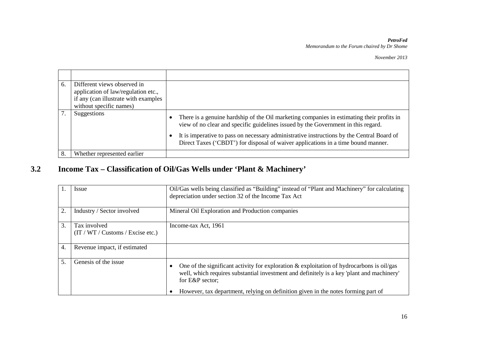*November 2013*

| 6. | Different views observed in<br>application of law/regulation etc., |                                                                                                                                                                                                                                                                             |
|----|--------------------------------------------------------------------|-----------------------------------------------------------------------------------------------------------------------------------------------------------------------------------------------------------------------------------------------------------------------------|
|    |                                                                    |                                                                                                                                                                                                                                                                             |
|    | if any (can illustrate with examples                               |                                                                                                                                                                                                                                                                             |
|    | without specific names)                                            |                                                                                                                                                                                                                                                                             |
|    | Suggestions                                                        | There is a genuine hardship of the Oil marketing companies in estimating their profits in<br>view of no clear and specific guidelines issued by the Government in this regard.<br>It is imperative to pass on necessary administrative instructions by the Central Board of |
|    |                                                                    | Direct Taxes ('CBDT') for disposal of waiver applications in a time bound manner.                                                                                                                                                                                           |
| 8. | Whether represented earlier                                        |                                                                                                                                                                                                                                                                             |

## **3.2 Income Tax – Classification of Oil/Gas Wells under 'Plant & Machinery'**

|    | Issue                                            | Oil/Gas wells being classified as "Building" instead of "Plant and Machinery" for calculating<br>depreciation under section 32 of the Income Tax Act                                                         |
|----|--------------------------------------------------|--------------------------------------------------------------------------------------------------------------------------------------------------------------------------------------------------------------|
| 2. | Industry / Sector involved                       | Mineral Oil Exploration and Production companies                                                                                                                                                             |
| 3. | Tax involved<br>(T / WT / Customs / Excise etc.) | Income-tax Act, 1961                                                                                                                                                                                         |
| 4. | Revenue impact, if estimated                     |                                                                                                                                                                                                              |
| 5. | Genesis of the issue                             | One of the significant activity for exploration $\&$ exploitation of hydrocarbons is oil/gas<br>well, which requires substantial investment and definitely is a key 'plant and machinery'<br>for E&P sector; |
|    |                                                  | However, tax department, relying on definition given in the notes forming part of                                                                                                                            |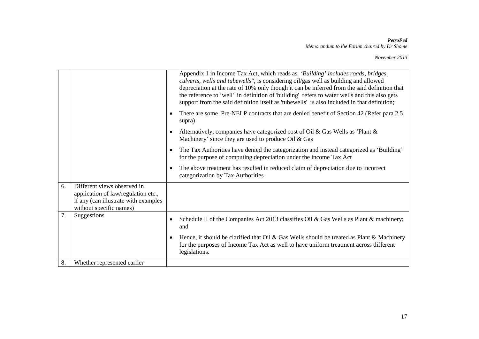|    |                                                                                                                                       |           | Appendix 1 in Income Tax Act, which reads as 'Building' includes roads, bridges,<br>culverts, wells and tubewells", is considering oil/gas well as building and allowed<br>depreciation at the rate of 10% only though it can be inferred from the said definition that<br>the reference to 'well' in definition of 'building' refers to water wells and this also gets<br>support from the said definition itself as 'tubewells' is also included in that definition; |
|----|---------------------------------------------------------------------------------------------------------------------------------------|-----------|------------------------------------------------------------------------------------------------------------------------------------------------------------------------------------------------------------------------------------------------------------------------------------------------------------------------------------------------------------------------------------------------------------------------------------------------------------------------|
|    |                                                                                                                                       | $\bullet$ | There are some Pre-NELP contracts that are denied benefit of Section 42 (Refer para 2.5)<br>supra)                                                                                                                                                                                                                                                                                                                                                                     |
|    |                                                                                                                                       | $\bullet$ | Alternatively, companies have categorized cost of Oil & Gas Wells as 'Plant &<br>Machinery' since they are used to produce Oil & Gas                                                                                                                                                                                                                                                                                                                                   |
|    |                                                                                                                                       | $\bullet$ | The Tax Authorities have denied the categorization and instead categorized as 'Building'<br>for the purpose of computing depreciation under the income Tax Act                                                                                                                                                                                                                                                                                                         |
|    |                                                                                                                                       | $\bullet$ | The above treatment has resulted in reduced claim of depreciation due to incorrect<br>categorization by Tax Authorities                                                                                                                                                                                                                                                                                                                                                |
| 6. | Different views observed in<br>application of law/regulation etc.,<br>if any (can illustrate with examples<br>without specific names) |           |                                                                                                                                                                                                                                                                                                                                                                                                                                                                        |
| 7. | Suggestions                                                                                                                           | $\bullet$ | Schedule II of the Companies Act 2013 classifies Oil & Gas Wells as Plant & machinery;<br>and                                                                                                                                                                                                                                                                                                                                                                          |
|    |                                                                                                                                       | $\bullet$ | Hence, it should be clarified that Oil & Gas Wells should be treated as Plant & Machinery<br>for the purposes of Income Tax Act as well to have uniform treatment across different<br>legislations.                                                                                                                                                                                                                                                                    |
| 8. | Whether represented earlier                                                                                                           |           |                                                                                                                                                                                                                                                                                                                                                                                                                                                                        |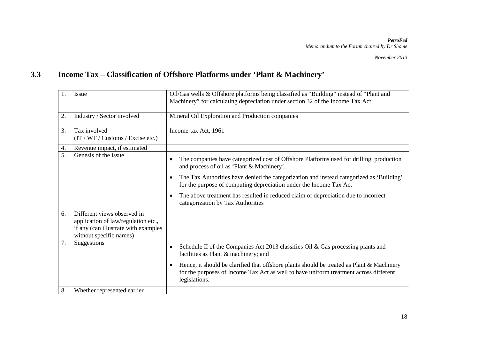## **3.3 Income Tax – Classification of Offshore Platforms under 'Plant & Machinery'**

| 1. | Issue                                                                                                                                 | Oil/Gas wells & Offshore platforms being classified as "Building" instead of "Plant and<br>Machinery" for calculating depreciation under section 32 of the Income Tax Act                                        |
|----|---------------------------------------------------------------------------------------------------------------------------------------|------------------------------------------------------------------------------------------------------------------------------------------------------------------------------------------------------------------|
| 2. | Industry / Sector involved                                                                                                            | Mineral Oil Exploration and Production companies                                                                                                                                                                 |
| 3. | Tax involved<br>(IT / WT / Customs / Excise etc.)                                                                                     | Income-tax Act, 1961                                                                                                                                                                                             |
| 4. | Revenue impact, if estimated                                                                                                          |                                                                                                                                                                                                                  |
| 5. | Genesis of the issue                                                                                                                  | The companies have categorized cost of Offshore Platforms used for drilling, production<br>$\bullet$<br>and process of oil as 'Plant & Machinery'.                                                               |
|    |                                                                                                                                       | The Tax Authorities have denied the categorization and instead categorized as 'Building'<br>$\bullet$<br>for the purpose of computing depreciation under the Income Tax Act                                      |
|    |                                                                                                                                       | The above treatment has resulted in reduced claim of depreciation due to incorrect<br>$\bullet$<br>categorization by Tax Authorities                                                                             |
| 6. | Different views observed in<br>application of law/regulation etc.,<br>if any (can illustrate with examples<br>without specific names) |                                                                                                                                                                                                                  |
| 7. | Suggestions                                                                                                                           | Schedule II of the Companies Act 2013 classifies Oil & Gas processing plants and<br>$\bullet$<br>facilities as Plant & machinery; and                                                                            |
|    |                                                                                                                                       | Hence, it should be clarified that offshore plants should be treated as Plant & Machinery<br>$\bullet$<br>for the purposes of Income Tax Act as well to have uniform treatment across different<br>legislations. |
| 8. | Whether represented earlier                                                                                                           |                                                                                                                                                                                                                  |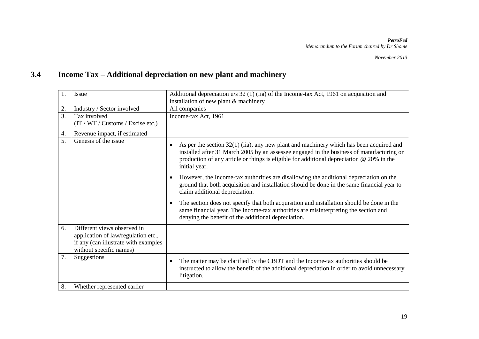## **3.4 Income Tax – Additional depreciation on new plant and machinery**

| 1. | Issue                                                                                                                                 | Additional depreciation $u/s$ 32 (1) (iia) of the Income-tax Act, 1961 on acquisition and<br>installation of new plant & machinery                                                                                                                                                                                |
|----|---------------------------------------------------------------------------------------------------------------------------------------|-------------------------------------------------------------------------------------------------------------------------------------------------------------------------------------------------------------------------------------------------------------------------------------------------------------------|
| 2. | Industry / Sector involved                                                                                                            | All companies                                                                                                                                                                                                                                                                                                     |
| 3. | Tax involved<br>(T / WT / Customs / Excise etc.)                                                                                      | Income-tax Act, 1961                                                                                                                                                                                                                                                                                              |
| 4. | Revenue impact, if estimated                                                                                                          |                                                                                                                                                                                                                                                                                                                   |
| 5. | Genesis of the issue                                                                                                                  | As per the section $32(1)$ (iia), any new plant and machinery which has been acquired and<br>$\bullet$<br>installed after 31 March 2005 by an assessee engaged in the business of manufacturing or<br>production of any article or things is eligible for additional depreciation $@$ 20% in the<br>initial year. |
|    |                                                                                                                                       | However, the Income-tax authorities are disallowing the additional depreciation on the<br>$\bullet$<br>ground that both acquisition and installation should be done in the same financial year to<br>claim additional depreciation.                                                                               |
|    |                                                                                                                                       | The section does not specify that both acquisition and installation should be done in the<br>$\bullet$<br>same financial year. The Income-tax authorities are misinterpreting the section and<br>denying the benefit of the additional depreciation.                                                              |
| 6. | Different views observed in<br>application of law/regulation etc.,<br>if any (can illustrate with examples<br>without specific names) |                                                                                                                                                                                                                                                                                                                   |
| 7. | Suggestions                                                                                                                           | The matter may be clarified by the CBDT and the Income-tax authorities should be<br>$\bullet$<br>instructed to allow the benefit of the additional depreciation in order to avoid unnecessary<br>litigation.                                                                                                      |
| 8. | Whether represented earlier                                                                                                           |                                                                                                                                                                                                                                                                                                                   |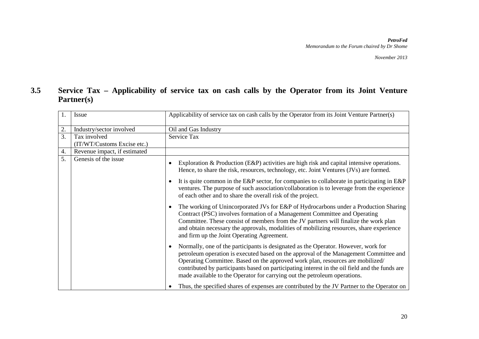### **3.5 Service Tax – Applicability of service tax on cash calls by the Operator from its Joint Venture Partner(s)**

| 1. | Issue                        | Applicability of service tax on cash calls by the Operator from its Joint Venture Partner(s)                                                                                                                                                                                                                                                                                                                                                 |
|----|------------------------------|----------------------------------------------------------------------------------------------------------------------------------------------------------------------------------------------------------------------------------------------------------------------------------------------------------------------------------------------------------------------------------------------------------------------------------------------|
| 2. | Industry/sector involved     | Oil and Gas Industry                                                                                                                                                                                                                                                                                                                                                                                                                         |
| 3. | Tax involved                 | Service Tax                                                                                                                                                                                                                                                                                                                                                                                                                                  |
|    | (IT/WT/Customs Excise etc.)  |                                                                                                                                                                                                                                                                                                                                                                                                                                              |
| 4. | Revenue impact, if estimated |                                                                                                                                                                                                                                                                                                                                                                                                                                              |
| 5. | Genesis of the issue         | Exploration & Production (E&P) activities are high risk and capital intensive operations.<br>Hence, to share the risk, resources, technology, etc. Joint Ventures (JVs) are formed.                                                                                                                                                                                                                                                          |
|    |                              | It is quite common in the E&P sector, for companies to collaborate in participating in E&P<br>ventures. The purpose of such association/collaboration is to leverage from the experience<br>of each other and to share the overall risk of the project.                                                                                                                                                                                      |
|    |                              | The working of Unincorporated JVs for E&P of Hydrocarbons under a Production Sharing<br>Contract (PSC) involves formation of a Management Committee and Operating<br>Committee. These consist of members from the JV partners will finalize the work plan<br>and obtain necessary the approvals, modalities of mobilizing resources, share experience<br>and firm up the Joint Operating Agreement.                                          |
|    |                              | Normally, one of the participants is designated as the Operator. However, work for<br>petroleum operation is executed based on the approval of the Management Committee and<br>Operating Committee. Based on the approved work plan, resources are mobilized/<br>contributed by participants based on participating interest in the oil field and the funds are<br>made available to the Operator for carrying out the petroleum operations. |
|    |                              | Thus, the specified shares of expenses are contributed by the JV Partner to the Operator on                                                                                                                                                                                                                                                                                                                                                  |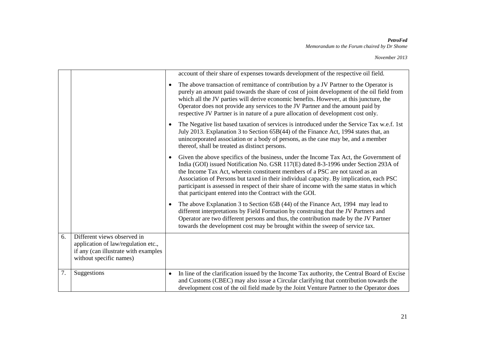|    |                                                                                                                                       |           | account of their share of expenses towards development of the respective oil field.                                                                                                                                                                                                                                                                                                                                                                                                                               |
|----|---------------------------------------------------------------------------------------------------------------------------------------|-----------|-------------------------------------------------------------------------------------------------------------------------------------------------------------------------------------------------------------------------------------------------------------------------------------------------------------------------------------------------------------------------------------------------------------------------------------------------------------------------------------------------------------------|
|    |                                                                                                                                       | $\bullet$ | The above transaction of remittance of contribution by a JV Partner to the Operator is<br>purely an amount paid towards the share of cost of joint development of the oil field from<br>which all the JV parties will derive economic benefits. However, at this juncture, the<br>Operator does not provide any services to the JV Partner and the amount paid by<br>respective JV Partner is in nature of a pure allocation of development cost only.                                                            |
|    |                                                                                                                                       |           | The Negative list based taxation of services is introduced under the Service Tax w.e.f. 1st<br>July 2013. Explanation 3 to Section 65B(44) of the Finance Act, 1994 states that, an<br>unincorporated association or a body of persons, as the case may be, and a member<br>thereof, shall be treated as distinct persons.                                                                                                                                                                                        |
|    |                                                                                                                                       | ٠         | Given the above specifics of the business, under the Income Tax Act, the Government of<br>India (GOI) issued Notification No. GSR 117(E) dated 8-3-1996 under Section 293A of<br>the Income Tax Act, wherein constituent members of a PSC are not taxed as an<br>Association of Persons but taxed in their individual capacity. By implication, each PSC<br>participant is assessed in respect of their share of income with the same status in which<br>that participant entered into the Contract with the GOI. |
|    |                                                                                                                                       | ٠         | The above Explanation 3 to Section 65B (44) of the Finance Act, 1994 may lead to<br>different interpretations by Field Formation by construing that the JV Partners and<br>Operator are two different persons and thus, the contribution made by the JV Partner<br>towards the development cost may be brought within the sweep of service tax.                                                                                                                                                                   |
| 6. | Different views observed in<br>application of law/regulation etc.,<br>if any (can illustrate with examples<br>without specific names) |           |                                                                                                                                                                                                                                                                                                                                                                                                                                                                                                                   |
| 7. | Suggestions                                                                                                                           | $\bullet$ | In line of the clarification issued by the Income Tax authority, the Central Board of Excise<br>and Customs (CBEC) may also issue a Circular clarifying that contribution towards the<br>development cost of the oil field made by the Joint Venture Partner to the Operator does                                                                                                                                                                                                                                 |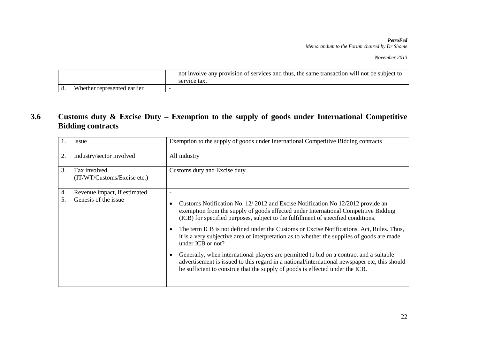*November 2013*

|                             | not involve any provision of services and thus, the same transaction will not be subject to<br>service tax. |
|-----------------------------|-------------------------------------------------------------------------------------------------------------|
| Whether represented earlier |                                                                                                             |

### **3.6 Customs duty & Excise Duty – Exemption to the supply of goods under International Competitive Bidding contracts**

| $\mathbf{1}$ . | Issue                                       | Exemption to the supply of goods under International Competitive Bidding contracts                                                                                                                                                                                                                                                                                                                                                                                                                                                                                                                                                                                                                                                                      |
|----------------|---------------------------------------------|---------------------------------------------------------------------------------------------------------------------------------------------------------------------------------------------------------------------------------------------------------------------------------------------------------------------------------------------------------------------------------------------------------------------------------------------------------------------------------------------------------------------------------------------------------------------------------------------------------------------------------------------------------------------------------------------------------------------------------------------------------|
| 2.             | Industry/sector involved                    | All industry                                                                                                                                                                                                                                                                                                                                                                                                                                                                                                                                                                                                                                                                                                                                            |
| 3.             | Tax involved<br>(IT/WT/Customs/Excise etc.) | Customs duty and Excise duty                                                                                                                                                                                                                                                                                                                                                                                                                                                                                                                                                                                                                                                                                                                            |
| 4.             | Revenue impact, if estimated                |                                                                                                                                                                                                                                                                                                                                                                                                                                                                                                                                                                                                                                                                                                                                                         |
| 5.             | Genesis of the issue                        | Customs Notification No. 12/2012 and Excise Notification No 12/2012 provide an<br>exemption from the supply of goods effected under International Competitive Bidding<br>(ICB) for specified purposes, subject to the fulfillment of specified conditions.<br>The term ICB is not defined under the Customs or Excise Notifications, Act, Rules. Thus,<br>it is a very subjective area of interpretation as to whether the supplies of goods are made<br>under ICB or not?<br>Generally, when international players are permitted to bid on a contract and a suitable<br>advertisement is issued to this regard in a national/international newspaper etc, this should<br>be sufficient to construe that the supply of goods is effected under the ICB. |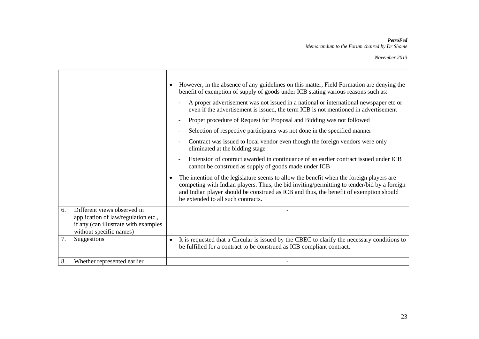|    |                                                                                                                                       | However, in the absence of any guidelines on this matter, Field Formation are denying the<br>benefit of exemption of supply of goods under ICB stating various reasons such as:<br>A proper advertisement was not issued in a national or international newspaper etc or<br>even if the advertisement is issued, the term ICB is not mentioned in advertisement<br>Proper procedure of Request for Proposal and Bidding was not followed |
|----|---------------------------------------------------------------------------------------------------------------------------------------|------------------------------------------------------------------------------------------------------------------------------------------------------------------------------------------------------------------------------------------------------------------------------------------------------------------------------------------------------------------------------------------------------------------------------------------|
|    |                                                                                                                                       | Selection of respective participants was not done in the specified manner                                                                                                                                                                                                                                                                                                                                                                |
|    |                                                                                                                                       | Contract was issued to local vendor even though the foreign vendors were only<br>eliminated at the bidding stage                                                                                                                                                                                                                                                                                                                         |
|    |                                                                                                                                       | Extension of contract awarded in continuance of an earlier contract issued under ICB<br>cannot be construed as supply of goods made under ICB                                                                                                                                                                                                                                                                                            |
|    |                                                                                                                                       | The intention of the legislature seems to allow the benefit when the foreign players are<br>competing with Indian players. Thus, the bid inviting/permitting to tender/bid by a foreign<br>and Indian player should be construed as ICB and thus, the benefit of exemption should<br>be extended to all such contracts.                                                                                                                  |
| 6. | Different views observed in<br>application of law/regulation etc.,<br>if any (can illustrate with examples<br>without specific names) |                                                                                                                                                                                                                                                                                                                                                                                                                                          |
| 7. | Suggestions                                                                                                                           | It is requested that a Circular is issued by the CBEC to clarify the necessary conditions to<br>be fulfilled for a contract to be construed as ICB compliant contract.                                                                                                                                                                                                                                                                   |
| 8. | Whether represented earlier                                                                                                           |                                                                                                                                                                                                                                                                                                                                                                                                                                          |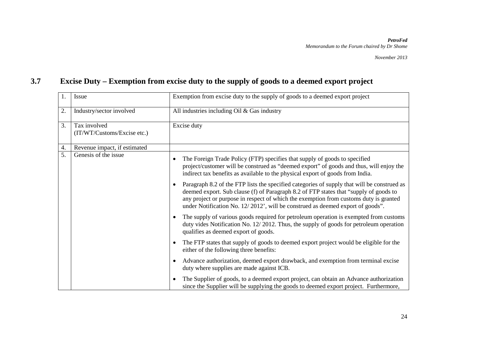# **3.7 Excise Duty – Exemption from excise duty to the supply of goods to a deemed export project**

| 1. | Issue                        | Exemption from excise duty to the supply of goods to a deemed export project                                                                                                                                                                                                                                                                                    |
|----|------------------------------|-----------------------------------------------------------------------------------------------------------------------------------------------------------------------------------------------------------------------------------------------------------------------------------------------------------------------------------------------------------------|
| 2. | Industry/sector involved     | All industries including Oil & Gas industry                                                                                                                                                                                                                                                                                                                     |
| 3. | Tax involved                 | Excise duty                                                                                                                                                                                                                                                                                                                                                     |
|    | (IT/WT/Customs/Excise etc.)  |                                                                                                                                                                                                                                                                                                                                                                 |
| 4. | Revenue impact, if estimated |                                                                                                                                                                                                                                                                                                                                                                 |
| 5. | Genesis of the issue         | The Foreign Trade Policy (FTP) specifies that supply of goods to specified<br>project/customer will be construed as "deemed export" of goods and thus, will enjoy the<br>indirect tax benefits as available to the physical export of goods from India.                                                                                                         |
|    |                              | Paragraph 8.2 of the FTP lists the specified categories of supply that will be construed as<br>deemed export. Sub clause (f) of Paragraph 8.2 of FTP states that "supply of goods to<br>any project or purpose in respect of which the exemption from customs duty is granted<br>under Notification No. 12/2012', will be construed as deemed export of goods". |
|    |                              | The supply of various goods required for petroleum operation is exempted from customs<br>duty vides Notification No. 12/2012. Thus, the supply of goods for petroleum operation<br>qualifies as deemed export of goods.                                                                                                                                         |
|    |                              | The FTP states that supply of goods to deemed export project would be eligible for the<br>either of the following three benefits:                                                                                                                                                                                                                               |
|    |                              | Advance authorization, deemed export drawback, and exemption from terminal excise<br>duty where supplies are made against ICB.                                                                                                                                                                                                                                  |
|    |                              | The Supplier of goods, to a deemed export project, can obtain an Advance authorization<br>since the Supplier will be supplying the goods to deemed export project. Furthermore,                                                                                                                                                                                 |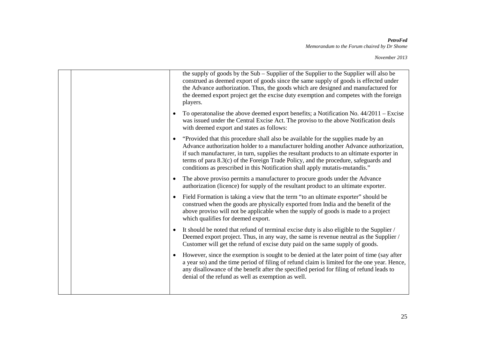|  |           | the supply of goods by the Sub – Supplier of the Supplier to the Supplier will also be<br>construed as deemed export of goods since the same supply of goods is effected under<br>the Advance authorization. Thus, the goods which are designed and manufactured for<br>the deemed export project get the excise duty exemption and competes with the foreign<br>players.                                                                      |
|--|-----------|------------------------------------------------------------------------------------------------------------------------------------------------------------------------------------------------------------------------------------------------------------------------------------------------------------------------------------------------------------------------------------------------------------------------------------------------|
|  | $\bullet$ | To operatonalise the above deemed export benefits; a Notification No. $44/2011 - Excise$<br>was issued under the Central Excise Act. The proviso to the above Notification deals<br>with deemed export and states as follows:                                                                                                                                                                                                                  |
|  | $\bullet$ | "Provided that this procedure shall also be available for the supplies made by an<br>Advance authorization holder to a manufacturer holding another Advance authorization,<br>if such manufacturer, in turn, supplies the resultant products to an ultimate exporter in<br>terms of para 8.3(c) of the Foreign Trade Policy, and the procedure, safeguards and<br>conditions as prescribed in this Notification shall apply mutatis-mutandis." |
|  |           | The above proviso permits a manufacturer to procure goods under the Advance<br>authorization (licence) for supply of the resultant product to an ultimate exporter.                                                                                                                                                                                                                                                                            |
|  |           | Field Formation is taking a view that the term "to an ultimate exporter" should be<br>construed when the goods are physically exported from India and the benefit of the<br>above proviso will not be applicable when the supply of goods is made to a project<br>which qualifies for deemed export.                                                                                                                                           |
|  | $\bullet$ | It should be noted that refund of terminal excise duty is also eligible to the Supplier /<br>Deemed export project. Thus, in any way, the same is revenue neutral as the Supplier /<br>Customer will get the refund of excise duty paid on the same supply of goods.                                                                                                                                                                           |
|  | $\bullet$ | However, since the exemption is sought to be denied at the later point of time (say after<br>a year so) and the time period of filing of refund claim is limited for the one year. Hence,<br>any disallowance of the benefit after the specified period for filing of refund leads to<br>denial of the refund as well as exemption as well.                                                                                                    |
|  |           |                                                                                                                                                                                                                                                                                                                                                                                                                                                |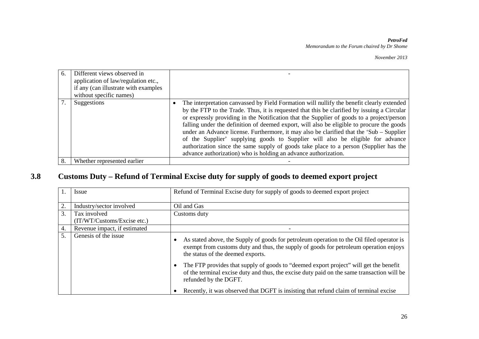| 6. | Different views observed in<br>application of law/regulation etc.,<br>if any (can illustrate with examples<br>without specific names) |                                                                                                                                                                                                                                                                                                                                                                                                                                                                                                                                                                                                                                                                                                                               |
|----|---------------------------------------------------------------------------------------------------------------------------------------|-------------------------------------------------------------------------------------------------------------------------------------------------------------------------------------------------------------------------------------------------------------------------------------------------------------------------------------------------------------------------------------------------------------------------------------------------------------------------------------------------------------------------------------------------------------------------------------------------------------------------------------------------------------------------------------------------------------------------------|
|    | Suggestions                                                                                                                           | The interpretation can vassed by Field Formation will nullify the benefit clearly extended<br>by the FTP to the Trade. Thus, it is requested that this be clarified by issuing a Circular<br>or expressly providing in the Notification that the Supplier of goods to a project/person<br>falling under the definition of deemed export, will also be eligible to procure the goods<br>under an Advance license. Furthermore, it may also be clarified that the 'Sub – Supplier<br>of the Supplier' supplying goods to Supplier will also be eligible for advance<br>authorization since the same supply of goods take place to a person (Supplier has the<br>advance authorization) who is holding an advance authorization. |
| 8. | Whether represented earlier                                                                                                           |                                                                                                                                                                                                                                                                                                                                                                                                                                                                                                                                                                                                                                                                                                                               |

## **3.8 Customs Duty – Refund of Terminal Excise duty for supply of goods to deemed export project**

|    | Issue                        | Refund of Terminal Excise duty for supply of goods to deemed export project                                                                                                                                             |
|----|------------------------------|-------------------------------------------------------------------------------------------------------------------------------------------------------------------------------------------------------------------------|
| 2. | Industry/sector involved     | Oil and Gas                                                                                                                                                                                                             |
| 3. | Tax involved                 | Customs duty                                                                                                                                                                                                            |
|    | (IT/WT/Customs/Excise etc.)  |                                                                                                                                                                                                                         |
| 4. | Revenue impact, if estimated |                                                                                                                                                                                                                         |
| 5. | Genesis of the issue         | As stated above, the Supply of goods for petroleum operation to the Oil filed operator is<br>exempt from customs duty and thus, the supply of goods for petroleum operation enjoys<br>the status of the deemed exports. |
|    |                              | The FTP provides that supply of goods to "deemed export project" will get the benefit<br>of the terminal excise duty and thus, the excise duty paid on the same transaction will be<br>refunded by the DGFT.            |
|    |                              | Recently, it was observed that DGFT is insisting that refund claim of terminal excise                                                                                                                                   |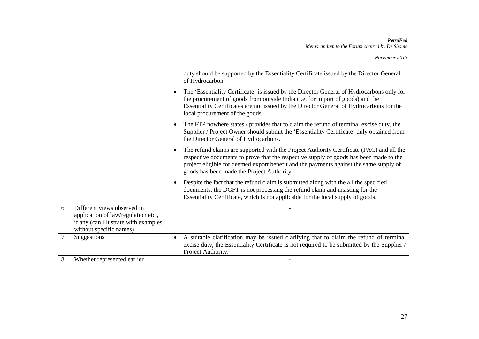|    |                                                                                                                                       | duty should be supported by the Essentiality Certificate issued by the Director General<br>of Hydrocarbon.                                                                                                                                                                                                                 |
|----|---------------------------------------------------------------------------------------------------------------------------------------|----------------------------------------------------------------------------------------------------------------------------------------------------------------------------------------------------------------------------------------------------------------------------------------------------------------------------|
|    |                                                                                                                                       | The 'Essentiality Certificate' is issued by the Director General of Hydrocarbons only for<br>the procurement of goods from outside India (i.e. for import of goods) and the<br>Essentiality Certificates are not issued by the Director General of Hydrocarbons for the<br>local procurement of the goods.                 |
|    |                                                                                                                                       | The FTP nowhere states / provides that to claim the refund of terminal excise duty, the<br>Supplier / Project Owner should submit the 'Essentiality Certificate' duly obtained from<br>the Director General of Hydrocarbons.                                                                                               |
|    |                                                                                                                                       | The refund claims are supported with the Project Authority Certificate (PAC) and all the<br>respective documents to prove that the respective supply of goods has been made to the<br>project eligible for deemed export benefit and the payments against the same supply of<br>goods has been made the Project Authority. |
|    |                                                                                                                                       | Despite the fact that the refund claim is submitted along with the all the specified<br>documents, the DGFT is not processing the refund claim and insisting for the<br>Essentiality Certificate, which is not applicable for the local supply of goods.                                                                   |
| 6. | Different views observed in<br>application of law/regulation etc.,<br>if any (can illustrate with examples<br>without specific names) |                                                                                                                                                                                                                                                                                                                            |
| 7. | Suggestions                                                                                                                           | A suitable clarification may be issued clarifying that to claim the refund of terminal<br>$\bullet$<br>excise duty, the Essentiality Certificate is not required to be submitted by the Supplier /<br>Project Authority.                                                                                                   |
| 8. | Whether represented earlier                                                                                                           |                                                                                                                                                                                                                                                                                                                            |
|    |                                                                                                                                       |                                                                                                                                                                                                                                                                                                                            |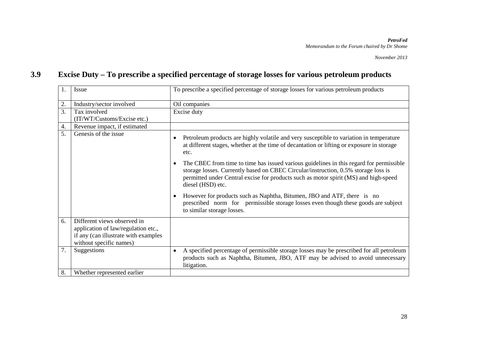## **3.9 Excise Duty – To prescribe a specified percentage of storage losses for various petroleum products**

| 1. | Issue                                                                                                                                 | To prescribe a specified percentage of storage losses for various petroleum products                                                                                                                                                                                                                    |
|----|---------------------------------------------------------------------------------------------------------------------------------------|---------------------------------------------------------------------------------------------------------------------------------------------------------------------------------------------------------------------------------------------------------------------------------------------------------|
| 2. | Industry/sector involved                                                                                                              | Oil companies                                                                                                                                                                                                                                                                                           |
| 3. | Tax involved                                                                                                                          | Excise duty                                                                                                                                                                                                                                                                                             |
|    | (IT/WT/Customs/Excise etc.)                                                                                                           |                                                                                                                                                                                                                                                                                                         |
| 4. | Revenue impact, if estimated                                                                                                          |                                                                                                                                                                                                                                                                                                         |
| 5. | Genesis of the issue                                                                                                                  | Petroleum products are highly volatile and very susceptible to variation in temperature<br>at different stages, whether at the time of decantation or lifting or exposure in storage<br>etc.                                                                                                            |
|    |                                                                                                                                       | The CBEC from time to time has issued various guidelines in this regard for permissible<br>$\bullet$<br>storage losses. Currently based on CBEC Circular/instruction, 0.5% storage loss is<br>permitted under Central excise for products such as motor spirit (MS) and high-speed<br>diesel (HSD) etc. |
|    |                                                                                                                                       | However for products such as Naphtha, Bitumen, JBO and ATF, there is no<br>prescribed norm for permissible storage losses even though these goods are subject<br>to similar storage losses.                                                                                                             |
| 6. | Different views observed in<br>application of law/regulation etc.,<br>if any (can illustrate with examples<br>without specific names) |                                                                                                                                                                                                                                                                                                         |
| 7. | Suggestions                                                                                                                           | A specified percentage of permissible storage losses may be prescribed for all petroleum<br>products such as Naphtha, Bitumen, JBO, ATF may be advised to avoid unnecessary<br>litigation.                                                                                                              |
| 8. | Whether represented earlier                                                                                                           |                                                                                                                                                                                                                                                                                                         |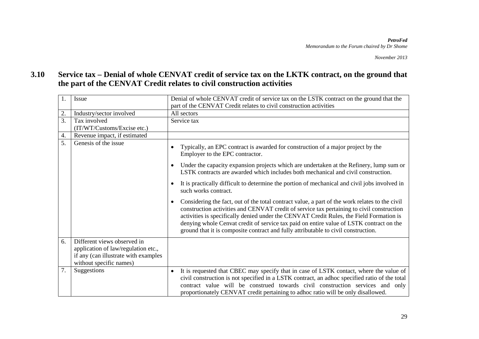### **3.10 Service tax – Denial of whole CENVAT credit of service tax on the LKTK contract, on the ground that the part of the CENVAT Credit relates to civil construction activities**

| 1. | Issue                                                                                                                                 | Denial of whole CENVAT credit of service tax on the LSTK contract on the ground that the<br>part of the CENVAT Credit relates to civil construction activities                                                                                                                                                                                                                                                                                                                       |
|----|---------------------------------------------------------------------------------------------------------------------------------------|--------------------------------------------------------------------------------------------------------------------------------------------------------------------------------------------------------------------------------------------------------------------------------------------------------------------------------------------------------------------------------------------------------------------------------------------------------------------------------------|
| 2. | Industry/sector involved                                                                                                              | All sectors                                                                                                                                                                                                                                                                                                                                                                                                                                                                          |
| 3. | Tax involved<br>(IT/WT/Customs/Excise etc.)                                                                                           | Service tax                                                                                                                                                                                                                                                                                                                                                                                                                                                                          |
| 4. | Revenue impact, if estimated                                                                                                          |                                                                                                                                                                                                                                                                                                                                                                                                                                                                                      |
| 5. | Genesis of the issue                                                                                                                  | Typically, an EPC contract is awarded for construction of a major project by the<br>$\bullet$<br>Employer to the EPC contractor.<br>Under the capacity expansion projects which are undertaken at the Refinery, lump sum or<br>$\bullet$                                                                                                                                                                                                                                             |
|    |                                                                                                                                       | LSTK contracts are awarded which includes both mechanical and civil construction.                                                                                                                                                                                                                                                                                                                                                                                                    |
|    |                                                                                                                                       | It is practically difficult to determine the portion of mechanical and civil jobs involved in<br>$\bullet$<br>such works contract.                                                                                                                                                                                                                                                                                                                                                   |
|    |                                                                                                                                       | Considering the fact, out of the total contract value, a part of the work relates to the civil<br>$\bullet$<br>construction activities and CENVAT credit of service tax pertaining to civil construction<br>activities is specifically denied under the CENVAT Credit Rules, the Field Formation is<br>denying whole Cenvat credit of service tax paid on entire value of LSTK contract on the<br>ground that it is composite contract and fully attributable to civil construction. |
| 6. | Different views observed in<br>application of law/regulation etc.,<br>if any (can illustrate with examples<br>without specific names) |                                                                                                                                                                                                                                                                                                                                                                                                                                                                                      |
| 7. | Suggestions                                                                                                                           | It is requested that CBEC may specify that in case of LSTK contact, where the value of<br>$\bullet$<br>civil construction is not specified in a LSTK contract, an adhoc specified ratio of the total<br>contract value will be construed towards civil construction services and only<br>proportionately CENVAT credit pertaining to adhoc ratio will be only disallowed.                                                                                                            |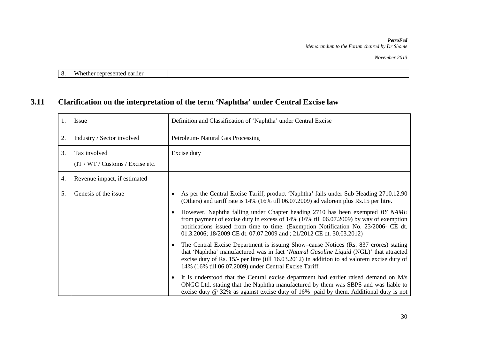*November 2013*

| $\cdot$ . | <b>TTT</b><br>$\mathbf{M}$<br>agrisar<br><b>. .</b><br>וני<br>semeg<br>еаніеі<br>– பட<br>нс<br>. |  |
|-----------|--------------------------------------------------------------------------------------------------|--|

## **3.11 Clarification on the interpretation of the term 'Naphtha' under Central Excise law**

| 1. | Issue                                            | Definition and Classification of 'Naphtha' under Central Excise                                                                                                                                                                                                                                                                                                                                                                                                                                                                                                                                                                                                                                                                                                                                                                                                                                                                                                                                                                                                                                                                                                                             |
|----|--------------------------------------------------|---------------------------------------------------------------------------------------------------------------------------------------------------------------------------------------------------------------------------------------------------------------------------------------------------------------------------------------------------------------------------------------------------------------------------------------------------------------------------------------------------------------------------------------------------------------------------------------------------------------------------------------------------------------------------------------------------------------------------------------------------------------------------------------------------------------------------------------------------------------------------------------------------------------------------------------------------------------------------------------------------------------------------------------------------------------------------------------------------------------------------------------------------------------------------------------------|
| 2. | Industry / Sector involved                       | Petroleum- Natural Gas Processing                                                                                                                                                                                                                                                                                                                                                                                                                                                                                                                                                                                                                                                                                                                                                                                                                                                                                                                                                                                                                                                                                                                                                           |
| 3. | Tax involved<br>(IT / WT / Customs / Excise etc. | Excise duty                                                                                                                                                                                                                                                                                                                                                                                                                                                                                                                                                                                                                                                                                                                                                                                                                                                                                                                                                                                                                                                                                                                                                                                 |
| 4. | Revenue impact, if estimated                     |                                                                                                                                                                                                                                                                                                                                                                                                                                                                                                                                                                                                                                                                                                                                                                                                                                                                                                                                                                                                                                                                                                                                                                                             |
| 5. | Genesis of the issue                             | As per the Central Excise Tariff, product 'Naphtha' falls under Sub-Heading 2710.12.90<br>(Others) and tariff rate is 14% (16% till 06.07.2009) ad valorem plus Rs.15 per litre.<br>However, Naphtha falling under Chapter heading 2710 has been exempted BY NAME<br>$\bullet$<br>from payment of excise duty in excess of 14% (16% till 06.07.2009) by way of exemption<br>notifications issued from time to time. (Exemption Notification No. 23/2006- CE dt.<br>01.3.2006; 18/2009 CE dt. 07.07.2009 and ; 21/2012 CE dt. 30.03.2012)<br>The Central Excise Department is issuing Show-cause Notices (Rs. 837 crores) stating<br>$\bullet$<br>that 'Naphtha' manufactured was in fact 'Natural Gasoline Liquid (NGL)' that attracted<br>excise duty of Rs. 15/- per litre (till 16.03.2012) in addition to ad valorem excise duty of<br>14% (16% till 06.07.2009) under Central Excise Tariff.<br>It is understood that the Central excise department had earlier raised demand on M/s<br>$\bullet$<br>ONGC Ltd. stating that the Naphtha manufactured by them was SBPS and was liable to<br>excise duty $\omega$ 32% as against excise duty of 16% paid by them. Additional duty is not |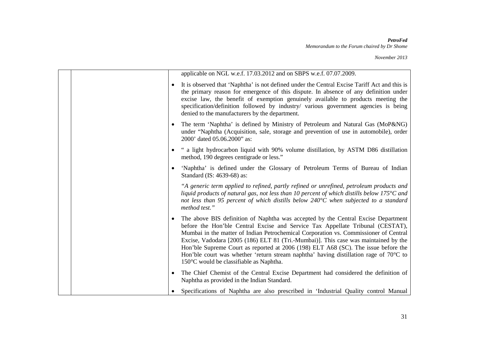|           | applicable on NGL w.e.f. 17.03.2012 and on SBPS w.e.f. 07.07.2009.                                                                                                                                                                                                                                                                                                                                                                                                                                                                                                                               |
|-----------|--------------------------------------------------------------------------------------------------------------------------------------------------------------------------------------------------------------------------------------------------------------------------------------------------------------------------------------------------------------------------------------------------------------------------------------------------------------------------------------------------------------------------------------------------------------------------------------------------|
|           | It is observed that 'Naphtha' is not defined under the Central Excise Tariff Act and this is<br>the primary reason for emergence of this dispute. In absence of any definition under<br>excise law, the benefit of exemption genuinely available to products meeting the<br>specification/definition followed by industry/ various government agencies is being<br>denied to the manufacturers by the department.                                                                                                                                                                                |
|           | The term 'Naphtha' is defined by Ministry of Petroleum and Natural Gas (MoP&NG)<br>under "Naphtha (Acquisition, sale, storage and prevention of use in automobile), order<br>2000' dated 05.06.2000" as:                                                                                                                                                                                                                                                                                                                                                                                         |
|           | " a light hydrocarbon liquid with 90% volume distillation, by ASTM D86 distillation<br>method, 190 degrees centigrade or less."                                                                                                                                                                                                                                                                                                                                                                                                                                                                  |
| $\bullet$ | 'Naphtha' is defined under the Glossary of Petroleum Terms of Bureau of Indian<br>Standard (IS: 4639-68) as:                                                                                                                                                                                                                                                                                                                                                                                                                                                                                     |
|           | "A generic term applied to refined, partly refined or unrefined, petroleum products and<br>liquid products of natural gas, not less than 10 percent of which distills below $175^{\circ}$ C and<br>not less than 95 percent of which distills below $240^{\circ}$ C when subjected to a standard<br>method test."                                                                                                                                                                                                                                                                                |
| ٠         | The above BIS definition of Naphtha was accepted by the Central Excise Department<br>before the Hon'ble Central Excise and Service Tax Appellate Tribunal (CESTAT),<br>Mumbai in the matter of Indian Petrochemical Corporation vs. Commissioner of Central<br>Excise, Vadodara [2005 (186) ELT 81 (Tri.-Mumbai)]. This case was maintained by the<br>Hon'ble Supreme Court as reported at 2006 (198) ELT A68 (SC). The issue before the<br>Hon'ble court was whether 'return stream naphtha' having distillation rage of $70^{\circ}$ C to<br>$150^{\circ}$ C would be classifiable as Naphtha. |
|           | The Chief Chemist of the Central Excise Department had considered the definition of<br>Naphtha as provided in the Indian Standard.                                                                                                                                                                                                                                                                                                                                                                                                                                                               |
|           | Specifications of Naphtha are also prescribed in 'Industrial Quality control Manual                                                                                                                                                                                                                                                                                                                                                                                                                                                                                                              |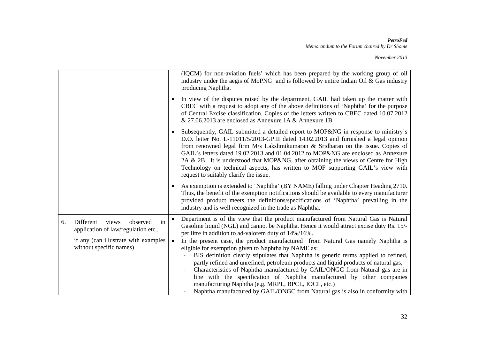|                                                                                                                                                |                        | (IQCM) for non-aviation fuels' which has been prepared by the working group of oil<br>industry under the aegis of MoPNG and is followed by entire Indian Oil & Gas industry<br>producing Naphtha.                                                                                                                                                                                                                                                                                                                                                                                                                                                                                                                                                                                                                                                                   |
|------------------------------------------------------------------------------------------------------------------------------------------------|------------------------|---------------------------------------------------------------------------------------------------------------------------------------------------------------------------------------------------------------------------------------------------------------------------------------------------------------------------------------------------------------------------------------------------------------------------------------------------------------------------------------------------------------------------------------------------------------------------------------------------------------------------------------------------------------------------------------------------------------------------------------------------------------------------------------------------------------------------------------------------------------------|
|                                                                                                                                                |                        | In view of the disputes raised by the department, GAIL had taken up the matter with<br>CBEC with a request to adopt any of the above definitions of 'Naphtha' for the purpose<br>of Central Excise classification. Copies of the letters written to CBEC dated 10.07.2012<br>& 27.06.2013 are enclosed as Annexure 1A & Annexure 1B.                                                                                                                                                                                                                                                                                                                                                                                                                                                                                                                                |
|                                                                                                                                                | $\bullet$              | Subsequently, GAIL submitted a detailed report to MOP&NG in response to ministry's<br>D.O. letter No. L-11011/5/2013-GP.II dated 14.02.2013 and furnished a legal opinion<br>from renowned legal firm M/s Lakshmikumaran & Sridharan on the issue. Copies of<br>GAIL's letters dated 19.02.2013 and 01.04.2012 to MOP&NG are enclosed as Annexure<br>2A & 2B. It is understood that MOP&NG, after obtaining the views of Centre for High<br>Technology on technical aspects, has written to MOF supporting GAIL's view with<br>request to suitably clarify the issue.                                                                                                                                                                                                                                                                                               |
|                                                                                                                                                |                        | As exemption is extended to 'Naphtha' (BY NAME) falling under Chapter Heading 2710.<br>Thus, the benefit of the exemption notifications should be available to every manufacturer<br>provided product meets the definitions/specifications of 'Naphtha' prevailing in the<br>industry and is well recognized in the trade as Naphtha.                                                                                                                                                                                                                                                                                                                                                                                                                                                                                                                               |
| in<br>views<br>Different<br>observed<br>application of law/regulation etc.,<br>if any (can illustrate with examples<br>without specific names) | $\bullet$<br>$\bullet$ | Department is of the view that the product manufactured from Natural Gas is Natural<br>Gasoline liquid (NGL) and cannot be Naphtha. Hence it would attract excise duty Rs. 15/-<br>per litre in addition to ad-valorem duty of 14%/16%.<br>In the present case, the product manufactured from Natural Gas namely Naphtha is<br>eligible for exemption given to Naphtha by NAME as:<br>BIS definition clearly stipulates that Naphtha is generic terms applied to refined,<br>partly refined and unrefined, petroleum products and liquid products of natural gas,<br>Characteristics of Naphtha manufactured by GAIL/ONGC from Natural gas are in<br>line with the specification of Naphtha manufactured by other companies<br>manufacturing Naphtha (e.g. MRPL, BPCL, IOCL, etc.)<br>Naphtha manufactured by GAIL/ONGC from Natural gas is also in conformity with |
|                                                                                                                                                |                        |                                                                                                                                                                                                                                                                                                                                                                                                                                                                                                                                                                                                                                                                                                                                                                                                                                                                     |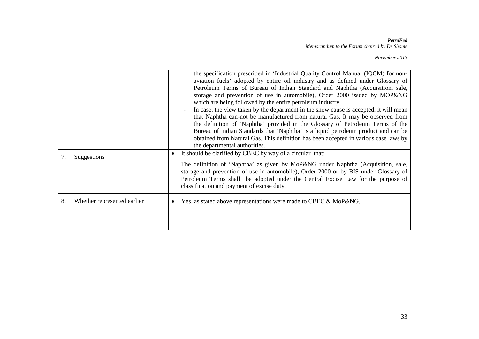| 7. | Suggestions                 | the specification prescribed in 'Industrial Quality Control Manual (IQCM) for non-<br>aviation fuels' adopted by entire oil industry and as defined under Glossary of<br>Petroleum Terms of Bureau of Indian Standard and Naphtha (Acquisition, sale,<br>storage and prevention of use in automobile), Order 2000 issued by MOP&NG<br>which are being followed by the entire petroleum industry.<br>In case, the view taken by the department in the show cause is accepted, it will mean<br>that Naphtha can-not be manufactured from natural Gas. It may be observed from<br>the definition of 'Naphtha' provided in the Glossary of Petroleum Terms of the<br>Bureau of Indian Standards that 'Naphtha' is a liquid petroleum product and can be<br>obtained from Natural Gas. This definition has been accepted in various case laws by<br>the departmental authorities.<br>It should be clarified by CBEC by way of a circular that:<br>$\bullet$<br>The definition of 'Naphtha' as given by MoP&NG under Naphtha (Acquisition, sale,<br>storage and prevention of use in automobile), Order 2000 or by BIS under Glossary of<br>Petroleum Terms shall be adopted under the Central Excise Law for the purpose of<br>classification and payment of excise duty. |
|----|-----------------------------|----------------------------------------------------------------------------------------------------------------------------------------------------------------------------------------------------------------------------------------------------------------------------------------------------------------------------------------------------------------------------------------------------------------------------------------------------------------------------------------------------------------------------------------------------------------------------------------------------------------------------------------------------------------------------------------------------------------------------------------------------------------------------------------------------------------------------------------------------------------------------------------------------------------------------------------------------------------------------------------------------------------------------------------------------------------------------------------------------------------------------------------------------------------------------------------------------------------------------------------------------------------------|
| 8. | Whether represented earlier | Yes, as stated above representations were made to CBEC & MoP&NG.<br>$\bullet$                                                                                                                                                                                                                                                                                                                                                                                                                                                                                                                                                                                                                                                                                                                                                                                                                                                                                                                                                                                                                                                                                                                                                                                        |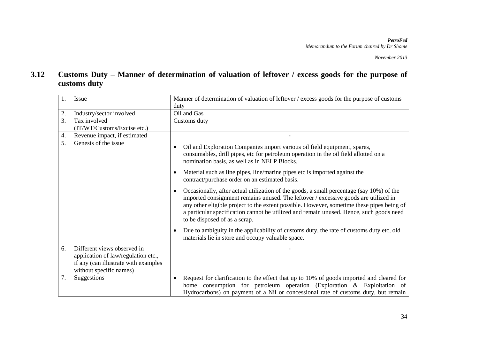### **3.12 Customs Duty – Manner of determination of valuation of leftover / excess goods for the purpose of customs duty**

| 1.               | <b>Issue</b>                                                                                                                          | Manner of determination of valuation of leftover / excess goods for the purpose of customs                                                                                                                                                                                                                                                                                                               |
|------------------|---------------------------------------------------------------------------------------------------------------------------------------|----------------------------------------------------------------------------------------------------------------------------------------------------------------------------------------------------------------------------------------------------------------------------------------------------------------------------------------------------------------------------------------------------------|
|                  |                                                                                                                                       | duty                                                                                                                                                                                                                                                                                                                                                                                                     |
| 2.               | Industry/sector involved                                                                                                              | Oil and Gas                                                                                                                                                                                                                                                                                                                                                                                              |
| 3.               | Tax involved                                                                                                                          | Customs duty                                                                                                                                                                                                                                                                                                                                                                                             |
|                  | (IT/WT/Customs/Excise etc.)                                                                                                           |                                                                                                                                                                                                                                                                                                                                                                                                          |
| 4.               | Revenue impact, if estimated                                                                                                          |                                                                                                                                                                                                                                                                                                                                                                                                          |
| $\overline{5}$ . | Genesis of the issue                                                                                                                  | Oil and Exploration Companies import various oil field equipment, spares,<br>consumables, drill pipes, etc for petroleum operation in the oil field allotted on a<br>nomination basis, as well as in NELP Blocks.                                                                                                                                                                                        |
|                  |                                                                                                                                       | Material such as line pipes, line/marine pipes etc is imported against the<br>contract/purchase order on an estimated basis.                                                                                                                                                                                                                                                                             |
|                  |                                                                                                                                       | Occasionally, after actual utilization of the goods, a small percentage (say 10%) of the<br>imported consignment remains unused. The leftover / excessive goods are utilized in<br>any other eligible project to the extent possible. However, sometime these pipes being of<br>a particular specification cannot be utilized and remain unused. Hence, such goods need<br>to be disposed of as a scrap. |
|                  |                                                                                                                                       | Due to ambiguity in the applicability of customs duty, the rate of customs duty etc, old<br>materials lie in store and occupy valuable space.                                                                                                                                                                                                                                                            |
| 6.               | Different views observed in<br>application of law/regulation etc.,<br>if any (can illustrate with examples<br>without specific names) |                                                                                                                                                                                                                                                                                                                                                                                                          |
| 7.               | Suggestions                                                                                                                           | Request for clarification to the effect that up to 10% of goods imported and cleared for<br>$\bullet$<br>home consumption for petroleum operation (Exploration & Exploitation of<br>Hydrocarbons) on payment of a Nil or concessional rate of customs duty, but remain                                                                                                                                   |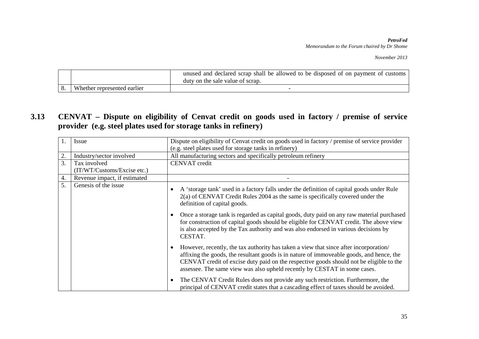*November 2013*

|                             | unused and declared scrap shall be allowed to be disposed of on payment of customs<br>duty on the sale value of scrap. |
|-----------------------------|------------------------------------------------------------------------------------------------------------------------|
| Whether represented earlier |                                                                                                                        |

### **3.13 CENVAT – Dispute on eligibility of Cenvat credit on goods used in factory / premise of service provider (e.g. steel plates used for storage tanks in refinery)**

| 1. | Issue                        | Dispute on eligibility of Cenvat credit on goods used in factory / premise of service provider                                                                                                                                                                                                                                                                         |
|----|------------------------------|------------------------------------------------------------------------------------------------------------------------------------------------------------------------------------------------------------------------------------------------------------------------------------------------------------------------------------------------------------------------|
|    |                              | (e.g. steel plates used for storage tanks in refinery)                                                                                                                                                                                                                                                                                                                 |
| 2. | Industry/sector involved     | All manufacturing sectors and specifically petroleum refinery                                                                                                                                                                                                                                                                                                          |
| 3. | Tax involved                 | <b>CENVAT</b> credit                                                                                                                                                                                                                                                                                                                                                   |
|    | (IT/WT/Customs/Excise etc.)  |                                                                                                                                                                                                                                                                                                                                                                        |
| 4. | Revenue impact, if estimated |                                                                                                                                                                                                                                                                                                                                                                        |
| 5. | Genesis of the issue         | A 'storage tank' used in a factory falls under the definition of capital goods under Rule<br>2(a) of CENVAT Credit Rules 2004 as the same is specifically covered under the<br>definition of capital goods.                                                                                                                                                            |
|    |                              | Once a storage tank is regarded as capital goods, duty paid on any raw material purchased<br>for construction of capital goods should be eligible for CENVAT credit. The above view<br>is also accepted by the Tax authority and was also endorsed in various decisions by<br>CESTAT.                                                                                  |
|    |                              | However, recently, the tax authority has taken a view that since after incorporation/<br>$\bullet$<br>affixing the goods, the resultant goods is in nature of immoveable goods, and hence, the<br>CENVAT credit of excise duty paid on the respective goods should not be eligible to the<br>assessee. The same view was also upheld recently by CESTAT in some cases. |
|    |                              | The CENVAT Credit Rules does not provide any such restriction. Furthermore, the<br>principal of CENVAT credit states that a cascading effect of taxes should be avoided.                                                                                                                                                                                               |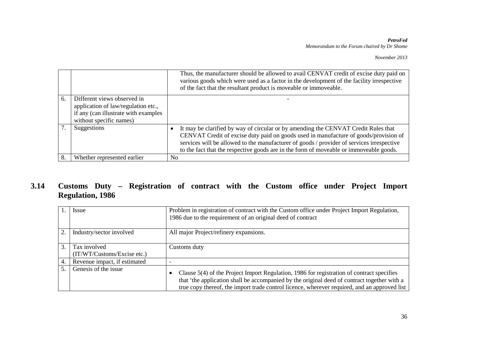|    |                                                                                                                                       | Thus, the manufacturer should be allowed to avail CENVAT credit of excise duty paid on<br>various goods which were used as a factor in the development of the facility irrespective<br>of the fact that the resultant product is moveable or immoveable.                                                                                                          |
|----|---------------------------------------------------------------------------------------------------------------------------------------|-------------------------------------------------------------------------------------------------------------------------------------------------------------------------------------------------------------------------------------------------------------------------------------------------------------------------------------------------------------------|
| 6. | Different views observed in<br>application of law/regulation etc.,<br>if any (can illustrate with examples<br>without specific names) |                                                                                                                                                                                                                                                                                                                                                                   |
|    | Suggestions                                                                                                                           | It may be clarified by way of circular or by amending the CENVAT Credit Rules that<br>CENVAT Credit of excise duty paid on goods used in manufacture of goods/provision of<br>services will be allowed to the manufacturer of goods / provider of services irrespective<br>to the fact that the respective goods are in the form of moveable or immoveable goods. |
|    | Whether represented earlier                                                                                                           | N <sub>0</sub>                                                                                                                                                                                                                                                                                                                                                    |

### **3.14 Customs Duty – Registration of contract with the Custom office under Project Import Regulation, 1986**

|    | Issue                                       | Problem in registration of contract with the Custom office under Project Import Regulation,<br>1986 due to the requirement of an original deed of contract                                                                                                                                            |
|----|---------------------------------------------|-------------------------------------------------------------------------------------------------------------------------------------------------------------------------------------------------------------------------------------------------------------------------------------------------------|
| 2. | Industry/sector involved                    | All major Project/refinery expansions.                                                                                                                                                                                                                                                                |
| 3. | Tax involved<br>(TT/WT/Customs/Excise etc.) | Customs duty                                                                                                                                                                                                                                                                                          |
| 4. | Revenue impact, if estimated                |                                                                                                                                                                                                                                                                                                       |
|    | Genesis of the issue                        | Clause 5(4) of the Project Import Regulation, 1986 for registration of contract specifies<br>$\bullet$<br>that 'the application shall be accompanied by the original deed of contract together with a<br>true copy thereof, the import trade control licence, wherever required, and an approved list |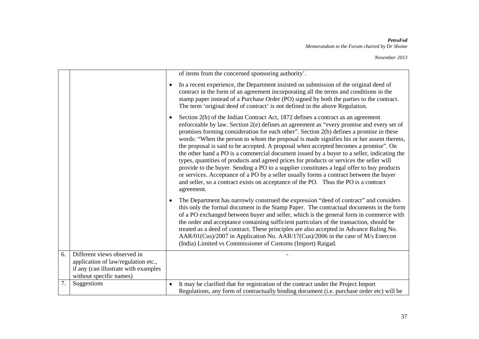|    |                                                                                                        | of items from the concerned sponsoring authority'.                                                                                                                                                                                                                                                                                                                                                                                                                                                                                                                                                                                                                                                                                                                                                                                                                                                                                                  |
|----|--------------------------------------------------------------------------------------------------------|-----------------------------------------------------------------------------------------------------------------------------------------------------------------------------------------------------------------------------------------------------------------------------------------------------------------------------------------------------------------------------------------------------------------------------------------------------------------------------------------------------------------------------------------------------------------------------------------------------------------------------------------------------------------------------------------------------------------------------------------------------------------------------------------------------------------------------------------------------------------------------------------------------------------------------------------------------|
|    |                                                                                                        | In a recent experience, the Department insisted on submission of the original deed of<br>$\bullet$<br>contract in the form of an agreement incorporating all the terms and conditions in the<br>stamp paper instead of a Purchase Order (PO) signed by both the parties to the contract.<br>The term 'original deed of contract' is not defined in the above Regulation.                                                                                                                                                                                                                                                                                                                                                                                                                                                                                                                                                                            |
|    |                                                                                                        | Section 2(h) of the Indian Contract Act, 1872 defines a contract as an agreement<br>enforceable by law. Section 2(e) defines an agreement as "every promise and every set of<br>promises forming consideration for each other". Section 2(b) defines a promise in these<br>words: "When the person to whom the proposal is made signifies his or her assent thereto,<br>the proposal is said to be accepted. A proposal when accepted becomes a promise". On<br>the other hand a PO is a commercial document issued by a buyer to a seller, indicating the<br>types, quantities of products and agreed prices for products or services the seller will<br>provide to the buyer. Sending a PO to a supplier constitutes a legal offer to buy products<br>or services. Acceptance of a PO by a seller usually forms a contract between the buyer<br>and seller, so a contract exists on acceptance of the PO. Thus the PO is a contract<br>agreement. |
|    |                                                                                                        | The Department has narrowly construed the expression "deed of contract" and considers<br>this only the formal document in the Stamp Paper. The contractual documents in the form<br>of a PO exchanged between buyer and seller, which is the general form in commerce with<br>the order and acceptance containing sufficient particulars of the transaction, should be<br>treated as a deed of contract. These principles are also accepted in Advance Ruling No.<br>AAR/01(Cus)/2007 in Application No. AAR/17(Cus)/2006 in the case of M/s Enercon<br>(India) Limited vs Commissioner of Customs (Import) Raigad.                                                                                                                                                                                                                                                                                                                                 |
| 6. | Different views observed in                                                                            |                                                                                                                                                                                                                                                                                                                                                                                                                                                                                                                                                                                                                                                                                                                                                                                                                                                                                                                                                     |
|    | application of law/regulation etc.,<br>if any (can illustrate with examples<br>without specific names) |                                                                                                                                                                                                                                                                                                                                                                                                                                                                                                                                                                                                                                                                                                                                                                                                                                                                                                                                                     |
| 7. | Suggestions                                                                                            | It may be clarified that for registration of the contract under the Project Import                                                                                                                                                                                                                                                                                                                                                                                                                                                                                                                                                                                                                                                                                                                                                                                                                                                                  |
|    |                                                                                                        | Regulations, any form of contractually binding document (i.e. purchase order etc) will be                                                                                                                                                                                                                                                                                                                                                                                                                                                                                                                                                                                                                                                                                                                                                                                                                                                           |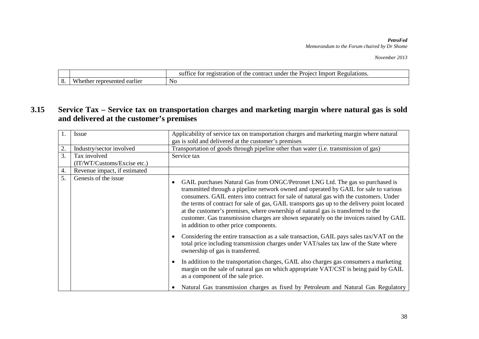*November 2013*

|         |                           | Regulations.<br>SH1<br>under<br>the<br>Proiect<br>Imn<br>n∩rt<br>$r \alpha \alpha$<br>tract<br>tor<br>.<br>the<br>-conti<br>- 01<br>- 11 CC<br>ганог<br>'ISL<br>. v |
|---------|---------------------------|---------------------------------------------------------------------------------------------------------------------------------------------------------------------|
| ⌒<br>v, | earlier<br>ำnte⊾<br>1 I F | N <sub>0</sub>                                                                                                                                                      |

### **3.15 Service Tax – Service tax on transportation charges and marketing margin where natural gas is sold and delivered at the customer's premises**

| $^{\circ}$ 1.    | Issue                        | Applicability of service tax on transportation charges and marketing margin where natural                                                                                                                                                                                                                                                                                                                                                                                                                                                                                                             |  |
|------------------|------------------------------|-------------------------------------------------------------------------------------------------------------------------------------------------------------------------------------------------------------------------------------------------------------------------------------------------------------------------------------------------------------------------------------------------------------------------------------------------------------------------------------------------------------------------------------------------------------------------------------------------------|--|
|                  |                              | gas is sold and delivered at the customer's premises                                                                                                                                                                                                                                                                                                                                                                                                                                                                                                                                                  |  |
| $\overline{2}$ . | Industry/sector involved     | Transportation of goods through pipeline other than water (i.e. transmission of gas)                                                                                                                                                                                                                                                                                                                                                                                                                                                                                                                  |  |
| 3.               | Tax involved                 | Service tax                                                                                                                                                                                                                                                                                                                                                                                                                                                                                                                                                                                           |  |
|                  | (IT/WT/Customs/Excise etc.)  |                                                                                                                                                                                                                                                                                                                                                                                                                                                                                                                                                                                                       |  |
| 4.               | Revenue impact, if estimated |                                                                                                                                                                                                                                                                                                                                                                                                                                                                                                                                                                                                       |  |
| 5.               | Genesis of the issue         | GAIL purchases Natural Gas from ONGC/Petronet LNG Ltd. The gas so purchased is<br>$\bullet$<br>transmitted through a pipeline network owned and operated by GAIL for sale to various<br>consumers. GAIL enters into contract for sale of natural gas with the customers. Under<br>the terms of contract for sale of gas, GAIL transports gas up to the delivery point located<br>at the customer's premises, where ownership of natural gas is transferred to the<br>customer. Gas transmission charges are shown separately on the invoices raised by GAIL<br>in addition to other price components. |  |
|                  |                              | Considering the entire transaction as a sale transaction, GAIL pays sales tax/VAT on the<br>$\bullet$<br>total price including transmission charges under VAT/sales tax law of the State where<br>ownership of gas is transferred.                                                                                                                                                                                                                                                                                                                                                                    |  |
|                  |                              | In addition to the transportation charges, GAIL also charges gas consumers a marketing<br>€<br>margin on the sale of natural gas on which appropriate VAT/CST is being paid by GAIL<br>as a component of the sale price.                                                                                                                                                                                                                                                                                                                                                                              |  |
|                  |                              | Natural Gas transmission charges as fixed by Petroleum and Natural Gas Regulatory                                                                                                                                                                                                                                                                                                                                                                                                                                                                                                                     |  |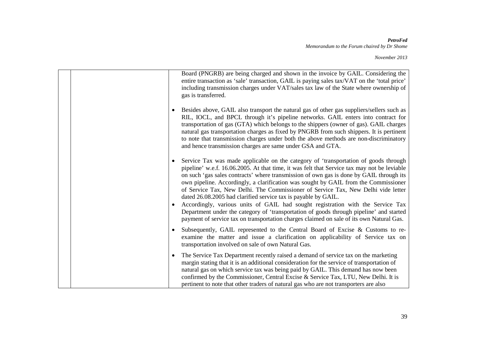|  |  | Board (PNGRB) are being charged and shown in the invoice by GAIL. Considering the<br>entire transaction as 'sale' transaction, GAIL is paying sales tax/VAT on the 'total price'<br>including transmission charges under VAT/sales tax law of the State where ownership of<br>gas is transferred.                                                                                                                                                                                                                                                                                                                                                                                                                                                                                                     |
|--|--|-------------------------------------------------------------------------------------------------------------------------------------------------------------------------------------------------------------------------------------------------------------------------------------------------------------------------------------------------------------------------------------------------------------------------------------------------------------------------------------------------------------------------------------------------------------------------------------------------------------------------------------------------------------------------------------------------------------------------------------------------------------------------------------------------------|
|  |  | Besides above, GAIL also transport the natural gas of other gas suppliers/sellers such as<br>RIL, IOCL, and BPCL through it's pipeline networks. GAIL enters into contract for<br>transportation of gas (GTA) which belongs to the shippers (owner of gas). GAIL charges<br>natural gas transportation charges as fixed by PNGRB from such shippers. It is pertinent<br>to note that transmission charges under both the above methods are non-discriminatory<br>and hence transmission charges are same under GSA and GTA.                                                                                                                                                                                                                                                                           |
|  |  | Service Tax was made applicable on the category of 'transportation of goods through<br>pipeline' w.e.f. 16.06.2005. At that time, it was felt that Service tax may not be leviable<br>on such 'gas sales contracts' where transmission of own gas is done by GAIL through its<br>own pipeline. Accordingly, a clarification was sought by GAIL from the Commissioner<br>of Service Tax, New Delhi. The Commissioner of Service Tax, New Delhi vide letter<br>dated 26.08.2005 had clarified service tax is payable by GAIL.<br>Accordingly, various units of GAIL had sought registration with the Service Tax<br>Department under the category of 'transportation of goods through pipeline' and started<br>payment of service tax on transportation charges claimed on sale of its own Natural Gas. |
|  |  | Subsequently, GAIL represented to the Central Board of Excise & Customs to re-<br>examine the matter and issue a clarification on applicability of Service tax on<br>transportation involved on sale of own Natural Gas.                                                                                                                                                                                                                                                                                                                                                                                                                                                                                                                                                                              |
|  |  | The Service Tax Department recently raised a demand of service tax on the marketing<br>margin stating that it is an additional consideration for the service of transportation of<br>natural gas on which service tax was being paid by GAIL. This demand has now been<br>confirmed by the Commissioner, Central Excise & Service Tax, LTU, New Delhi. It is<br>pertinent to note that other traders of natural gas who are not transporters are also                                                                                                                                                                                                                                                                                                                                                 |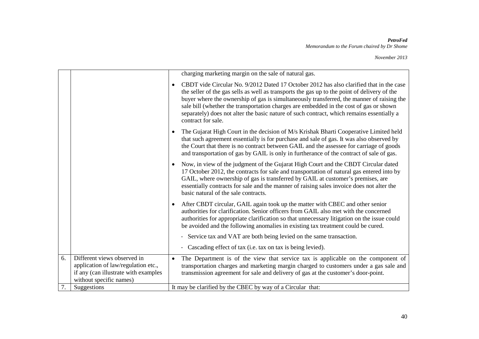|    |                                                                                                                                       |           | charging marketing margin on the sale of natural gas.                                                                                                                                                                                                                                                                                                                                                                                                                                             |
|----|---------------------------------------------------------------------------------------------------------------------------------------|-----------|---------------------------------------------------------------------------------------------------------------------------------------------------------------------------------------------------------------------------------------------------------------------------------------------------------------------------------------------------------------------------------------------------------------------------------------------------------------------------------------------------|
|    |                                                                                                                                       | $\bullet$ | CBDT vide Circular No. 9/2012 Dated 17 October 2012 has also clarified that in the case<br>the seller of the gas sells as well as transports the gas up to the point of delivery of the<br>buyer where the ownership of gas is simultaneously transferred, the manner of raising the<br>sale bill (whether the transportation charges are embedded in the cost of gas or shown<br>separately) does not alter the basic nature of such contract, which remains essentially a<br>contract for sale. |
|    |                                                                                                                                       |           | The Gujarat High Court in the decision of M/s Krishak Bharti Cooperative Limited held<br>that such agreement essentially is for purchase and sale of gas. It was also observed by<br>the Court that there is no contract between GAIL and the assessee for carriage of goods<br>and transportation of gas by GAIL is only in furtherance of the contract of sale of gas.                                                                                                                          |
|    |                                                                                                                                       | $\bullet$ | Now, in view of the judgment of the Gujarat High Court and the CBDT Circular dated<br>17 October 2012, the contracts for sale and transportation of natural gas entered into by<br>GAIL, where ownership of gas is transferred by GAIL at customer's premises, are<br>essentially contracts for sale and the manner of raising sales invoice does not alter the<br>basic natural of the sale contracts.                                                                                           |
|    |                                                                                                                                       | $\bullet$ | After CBDT circular, GAIL again took up the matter with CBEC and other senior<br>authorities for clarification. Senior officers from GAIL also met with the concerned<br>authorities for appropriate clarification so that unnecessary litigation on the issue could<br>be avoided and the following anomalies in existing tax treatment could be cured.                                                                                                                                          |
|    |                                                                                                                                       |           | - Service tax and VAT are both being levied on the same transaction.                                                                                                                                                                                                                                                                                                                                                                                                                              |
|    |                                                                                                                                       |           | - Cascading effect of tax (i.e. tax on tax is being levied).                                                                                                                                                                                                                                                                                                                                                                                                                                      |
| 6. | Different views observed in<br>application of law/regulation etc.,<br>if any (can illustrate with examples<br>without specific names) | $\bullet$ | The Department is of the view that service tax is applicable on the component of<br>transportation charges and marketing margin charged to customers under a gas sale and<br>transmission agreement for sale and delivery of gas at the customer's door-point.                                                                                                                                                                                                                                    |
| 7. | Suggestions                                                                                                                           |           | It may be clarified by the CBEC by way of a Circular that:                                                                                                                                                                                                                                                                                                                                                                                                                                        |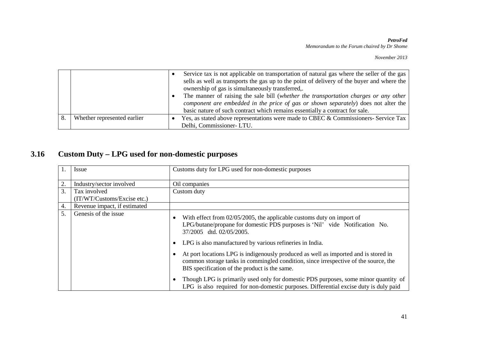|                             | Service tax is not applicable on transportation of natural gas where the seller of the gas<br>sells as well as transports the gas up to the point of delivery of the buyer and where the<br>ownership of gas is simultaneously transferred,.<br>The manner of raising the sale bill (whether the transportation charges or any other<br>component are embedded in the price of gas or shown separately) does not alter the |
|-----------------------------|----------------------------------------------------------------------------------------------------------------------------------------------------------------------------------------------------------------------------------------------------------------------------------------------------------------------------------------------------------------------------------------------------------------------------|
|                             | basic nature of such contract which remains essentially a contract for sale.                                                                                                                                                                                                                                                                                                                                               |
| Whether represented earlier | Yes, as stated above representations were made to CBEC & Commissioners- Service Tax                                                                                                                                                                                                                                                                                                                                        |
|                             | Delhi, Commissioner- LTU.                                                                                                                                                                                                                                                                                                                                                                                                  |

## **3.16 Custom Duty – LPG used for non-domestic purposes**

| 1.               | Issue                        | Customs duty for LPG used for non-domestic purposes                                                                                                                                                                         |
|------------------|------------------------------|-----------------------------------------------------------------------------------------------------------------------------------------------------------------------------------------------------------------------------|
| 2.               | Industry/sector involved     | Oil companies                                                                                                                                                                                                               |
| 3.               | Tax involved                 | Custom duty                                                                                                                                                                                                                 |
|                  | (IT/WT/Customs/Excise etc.)  |                                                                                                                                                                                                                             |
| $\overline{4}$ . | Revenue impact, if estimated |                                                                                                                                                                                                                             |
| 5.               | Genesis of the issue         | With effect from $02/05/2005$ , the applicable customs duty on import of<br>LPG/butane/propane for domestic PDS purposes is 'Nil' vide Notification No.<br>37/2005 dtd. 02/05/2005.                                         |
|                  |                              | LPG is also manufactured by various refineries in India.                                                                                                                                                                    |
|                  |                              | At port locations LPG is indigenously produced as well as imported and is stored in<br>common storage tanks in commingled condition, since irrespective of the source, the<br>BIS specification of the product is the same. |
|                  |                              | Though LPG is primarily used only for domestic PDS purposes, some minor quantity of<br>LPG is also required for non-domestic purposes. Differential excise duty is duly paid                                                |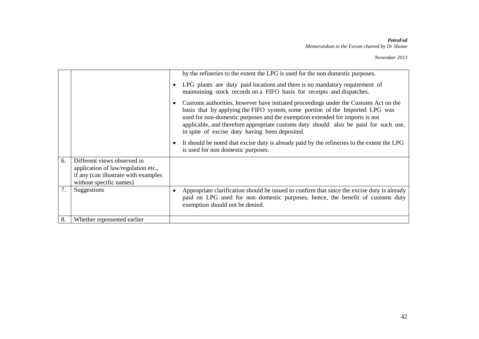|    |                                                                                                                                       | by the refineries to the extent the LPG is used for the non domestic purposes.                                                                                                                                                                                                                                                                                                                 |
|----|---------------------------------------------------------------------------------------------------------------------------------------|------------------------------------------------------------------------------------------------------------------------------------------------------------------------------------------------------------------------------------------------------------------------------------------------------------------------------------------------------------------------------------------------|
|    |                                                                                                                                       | LPG plants are duty paid locations and there is no mandatory requirement of<br>maintaining stock records on a FIFO basis for receipts and dispatches.                                                                                                                                                                                                                                          |
|    |                                                                                                                                       | Customs authorities, however have initiated proceedings under the Customs Act on the<br>basis that by applying the FIFO system, some portion of the Imported LPG was<br>used for non-domestic purposes and the exemption extended for imports is not<br>applicable, and therefore appropriate customs duty should also be paid for such use,<br>in spite of excise duty having been deposited. |
|    |                                                                                                                                       | It should be noted that excise duty is already paid by the refineries to the extent the LPG<br>is used for non domestic purposes.                                                                                                                                                                                                                                                              |
| 6. | Different views observed in<br>application of law/regulation etc.,<br>if any (can illustrate with examples<br>without specific names) |                                                                                                                                                                                                                                                                                                                                                                                                |
| 7. | Suggestions                                                                                                                           | Appropriate clarification should be issued to confirm that since the excise duty is already<br>paid on LPG used for non domestic purposes, hence, the benefit of customs duty<br>exemption should not be denied.                                                                                                                                                                               |
| 8. | Whether represented earlier                                                                                                           |                                                                                                                                                                                                                                                                                                                                                                                                |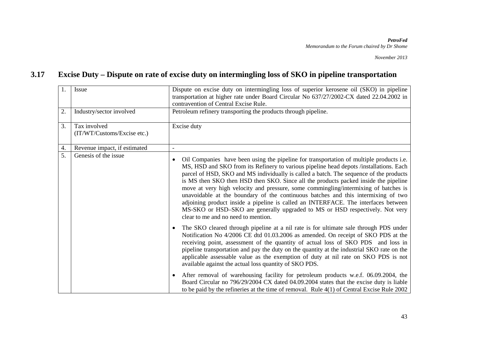### **3.17 Excise Duty – Dispute on rate of excise duty on intermingling loss of SKO in pipeline transportation**

| 1.<br>2.         | Issue<br>Industry/sector involved                           | Dispute on excise duty on intermingling loss of superior kerosene oil (SKO) in pipeline<br>transportation at higher rate under Board Circular No 637/27/2002-CX dated 22.04.2002 in<br>contravention of Central Excise Rule.<br>Petroleum refinery transporting the products through pipeline.                                                                                                                                                                                                                                                                                                                                                                                                                                                                                                  |
|------------------|-------------------------------------------------------------|-------------------------------------------------------------------------------------------------------------------------------------------------------------------------------------------------------------------------------------------------------------------------------------------------------------------------------------------------------------------------------------------------------------------------------------------------------------------------------------------------------------------------------------------------------------------------------------------------------------------------------------------------------------------------------------------------------------------------------------------------------------------------------------------------|
| 3.               | Tax involved<br>(IT/WT/Customs/Excise etc.)                 | Excise duty                                                                                                                                                                                                                                                                                                                                                                                                                                                                                                                                                                                                                                                                                                                                                                                     |
| 4.               | Revenue impact, if estimated                                | $\overline{\phantom{a}}$                                                                                                                                                                                                                                                                                                                                                                                                                                                                                                                                                                                                                                                                                                                                                                        |
| $\overline{5}$ . | Genesis of the issue<br>$\bullet$<br>$\bullet$<br>$\bullet$ | Oil Companies have been using the pipeline for transportation of multiple products <i>i.e.</i><br>MS, HSD and SKO from its Refinery to various pipeline head depots /installations. Each<br>parcel of HSD, SKO and MS individually is called a batch. The sequence of the products<br>is MS then SKO then HSD then SKO. Since all the products packed inside the pipeline<br>move at very high velocity and pressure, some commingling/intermixing of batches is<br>unavoidable at the boundary of the continuous batches and this intermixing of two<br>adjoining product inside a pipeline is called an INTERFACE. The interfaces between<br>MS-SKO or HSD-SKO are generally upgraded to MS or HSD respectively. Not very<br>clear to me and no need to mention.                              |
|                  |                                                             | The SKO cleared through pipeline at a nil rate is for ultimate sale through PDS under<br>Notification No 4/2006 CE dtd 01.03.2006 as amended. On receipt of SKO PDS at the<br>receiving point, assessment of the quantity of actual loss of SKO PDS and loss in<br>pipeline transportation and pay the duty on the quantity at the industrial SKO rate on the<br>applicable assessable value as the exemption of duty at nil rate on SKO PDS is not<br>available against the actual loss quantity of SKO PDS.<br>After removal of warehousing facility for petroleum products w.e.f. 06.09.2004, the<br>Board Circular no 796/29/2004 CX dated 04.09.2004 states that the excise duty is liable<br>to be paid by the refineries at the time of removal. Rule $4(1)$ of Central Excise Rule 2002 |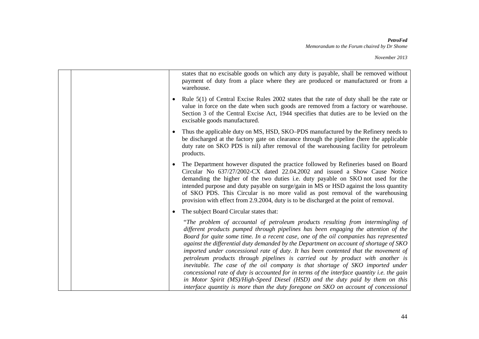|  |           | states that no excisable goods on which any duty is payable, shall be removed without<br>payment of duty from a place where they are produced or manufactured or from a<br>warehouse.                                                                                                                                                                                                                                                                                                                                                                                                                                                                                                                                                                                                                 |
|--|-----------|-------------------------------------------------------------------------------------------------------------------------------------------------------------------------------------------------------------------------------------------------------------------------------------------------------------------------------------------------------------------------------------------------------------------------------------------------------------------------------------------------------------------------------------------------------------------------------------------------------------------------------------------------------------------------------------------------------------------------------------------------------------------------------------------------------|
|  | $\bullet$ | Rule 5(1) of Central Excise Rules 2002 states that the rate of duty shall be the rate or<br>value in force on the date when such goods are removed from a factory or warehouse.<br>Section 3 of the Central Excise Act, 1944 specifies that duties are to be levied on the<br>excisable goods manufactured.                                                                                                                                                                                                                                                                                                                                                                                                                                                                                           |
|  | $\bullet$ | Thus the applicable duty on MS, HSD, SKO–PDS manufactured by the Refinery needs to<br>be discharged at the factory gate on clearance through the pipeline (here the applicable<br>duty rate on SKO PDS is nil) after removal of the warehousing facility for petroleum<br>products.                                                                                                                                                                                                                                                                                                                                                                                                                                                                                                                   |
|  | $\bullet$ | The Department however disputed the practice followed by Refineries based on Board<br>Circular No 637/27/2002-CX dated 22.04.2002 and issued a Show Cause Notice<br>demanding the higher of the two duties i.e. duty payable on SKO not used for the<br>intended purpose and duty payable on surge/gain in MS or HSD against the loss quantity<br>of SKO PDS. This Circular is no more valid as post removal of the warehousing<br>provision with effect from 2.9.2004, duty is to be discharged at the point of removal.                                                                                                                                                                                                                                                                             |
|  | $\bullet$ | The subject Board Circular states that:                                                                                                                                                                                                                                                                                                                                                                                                                                                                                                                                                                                                                                                                                                                                                               |
|  |           | "The problem of accountal of petroleum products resulting from intermingling of<br>different products pumped through pipelines has been engaging the attention of the<br>Board for quite some time. In a recent case, one of the oil companies has represented<br>against the differential duty demanded by the Department on account of shortage of SKO<br>imported under concessional rate of duty. It has been contented that the movement of<br>petroleum products through pipelines is carried out by product with another is<br>inevitable. The case of the oil company is that shortage of SKO imported under<br>concessional rate of duty is accounted for in terms of the interface quantity i.e. the gain<br>in Motor Spirit (MS)/High-Speed Diesel (HSD) and the duty paid by them on this |
|  |           | interface quantity is more than the duty foregone on SKO on account of concessional                                                                                                                                                                                                                                                                                                                                                                                                                                                                                                                                                                                                                                                                                                                   |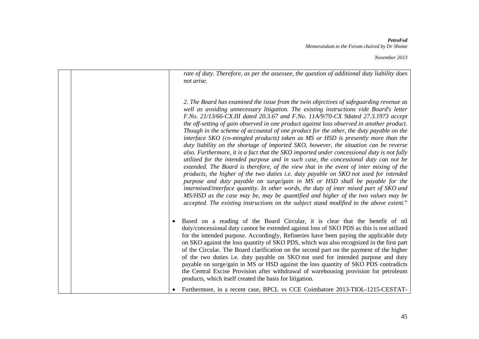*November 2013*

*rate of duty. Therefore, as per the assessee, the question of additional duty liability does not arise.*

*2. The Board has examined the issue from the twin objectives of safeguarding revenue as well as avoiding unnecessary litigation. The existing instructions vide Board's letter F.No. 21/13/66-CX.III dated 20.3.67 and F.No. 11A/9/70-CX 9dated 27.3.1973 accept the off-setting of gain observed in one product against loss observed in another product. Though in the scheme of accountal of one product for the other, the duty payable on the interface SKO (co-mingled products) taken as MS or HSD is presently more than the duty liability on the shortage of imported SKO, however, the situation can be reverse also. Furthermore, it is a fact that the SKO imported under concessional duty is not fully utilized for the intended purpose and in such case, the concessional duty can not be extended. The Board is therefore, of the view that in the event of inter mixing of the products, the higher of the two duties i.e. duty payable on SKO not used for intended purpose and duty payable on surge/gain in MS or HSD shall be payable for the intermixed/interface quantity. In other words, the duty of inter mixed part of SKO and MS/HSD as the case may be, may be quantified and higher of the two values may be accepted. The existing instructions on the subject stand modified to the above extent.*"

• Based on a reading of the Board Circular, it is clear that the benefit of nil duty/concessional duty cannot be extended against loss of SKO PDS as this is not utilized for the intended purpose. Accordingly, Refineries have been paying the applicable duty on SKO against the loss quantity of SKO PDS, which was also recognized in the first part of the Circular. The Board clarification on the second part on the payment of the higher of the two duties i.e. duty payable on SKO not used for intended purpose and duty payable on surge/gain in MS or HSD against the loss quantity of SKO PDS contradicts the Central Excise Provision after withdrawal of warehousing provision for petroleum products, which itself created the basis for litigation.

• Furthermore, in a recent case, BPCL vs CCE Coimbatore 2013-TIOL-1215-CESTAT-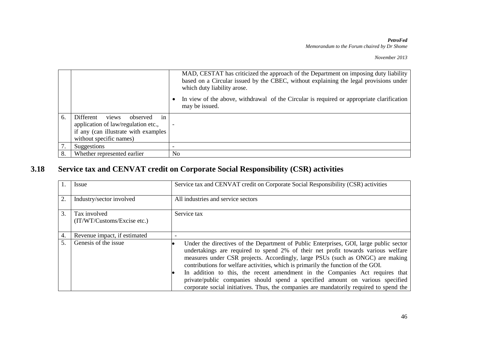|    |                                      |                | MAD, CESTAT has criticized the approach of the Department on imposing duty liability<br>based on a Circular issued by the CBEC, without explaining the legal provisions under<br>which duty liability arose. |
|----|--------------------------------------|----------------|--------------------------------------------------------------------------------------------------------------------------------------------------------------------------------------------------------------|
|    |                                      |                | In view of the above, withdrawal of the Circular is required or appropriate clarification<br>may be issued.                                                                                                  |
| 6. | views<br>in<br>Different<br>observed |                |                                                                                                                                                                                                              |
|    | application of law/regulation etc.,  |                |                                                                                                                                                                                                              |
|    | if any (can illustrate with examples |                |                                                                                                                                                                                                              |
|    | without specific names)              |                |                                                                                                                                                                                                              |
| 7. | Suggestions                          |                |                                                                                                                                                                                                              |
| 8. | Whether represented earlier          | N <sub>0</sub> |                                                                                                                                                                                                              |

## **3.18 Service tax and CENVAT credit on Corporate Social Responsibility (CSR) activities**

|    | Issue                                       | Service tax and CENVAT credit on Corporate Social Responsibility (CSR) activities                                                                                                                                                                                                                                                                                                                                                                                                                                                                                                                              |
|----|---------------------------------------------|----------------------------------------------------------------------------------------------------------------------------------------------------------------------------------------------------------------------------------------------------------------------------------------------------------------------------------------------------------------------------------------------------------------------------------------------------------------------------------------------------------------------------------------------------------------------------------------------------------------|
| 2. | Industry/sector involved                    | All industries and service sectors                                                                                                                                                                                                                                                                                                                                                                                                                                                                                                                                                                             |
| 3. | Tax involved<br>(IT/WT/Customs/Excise etc.) | Service tax                                                                                                                                                                                                                                                                                                                                                                                                                                                                                                                                                                                                    |
| 4. | Revenue impact, if estimated                |                                                                                                                                                                                                                                                                                                                                                                                                                                                                                                                                                                                                                |
| 5. | Genesis of the issue                        | Under the directives of the Department of Public Enterprises, GOI, large public sector<br>undertakings are required to spend 2% of their net profit towards various welfare<br>measures under CSR projects. Accordingly, large PSUs (such as ONGC) are making<br>contributions for welfare activities, which is primarily the function of the GOI.<br>In addition to this, the recent amendment in the Companies Act requires that<br>private/public companies should spend a specified amount on various specified<br>corporate social initiatives. Thus, the companies are mandatorily required to spend the |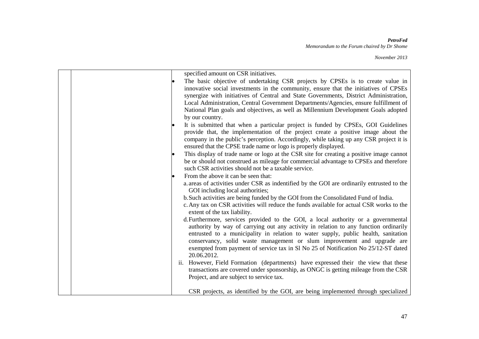| specified amount on CSR initiatives.                                                                                                                                                                                                                                                                                                                                                                                                                              |
|-------------------------------------------------------------------------------------------------------------------------------------------------------------------------------------------------------------------------------------------------------------------------------------------------------------------------------------------------------------------------------------------------------------------------------------------------------------------|
| The basic objective of undertaking CSR projects by CPSEs is to create value in<br>innovative social investments in the community, ensure that the initiatives of CPSEs<br>synergize with initiatives of Central and State Governments, District Administration,<br>Local Administration, Central Government Departments/Agencies, ensure fulfillment of<br>National Plan goals and objectives, as well as Millennium Development Goals adopted<br>by our country. |
| It is submitted that when a particular project is funded by CPSEs, GOI Guidelines<br>provide that, the implementation of the project create a positive image about the<br>company in the public's perception. Accordingly, while taking up any CSR project it is<br>ensured that the CPSE trade name or logo is properly displayed.                                                                                                                               |
| This display of trade name or logo at the CSR site for creating a positive image cannot<br>be or should not construed as mileage for commercial advantage to CPSEs and therefore<br>such CSR activities should not be a taxable service.                                                                                                                                                                                                                          |
| From the above it can be seen that:<br>a areas of activities under CSR as indentified by the GOI are ordinarily entrusted to the<br>GOI including local authorities;                                                                                                                                                                                                                                                                                              |
| b. Such activities are being funded by the GOI from the Consolidated Fund of India.<br>c. Any tax on CSR activities will reduce the funds available for actual CSR works to the<br>extent of the tax liability.                                                                                                                                                                                                                                                   |
| d. Furthermore, services provided to the GOI, a local authority or a governmental<br>authority by way of carrying out any activity in relation to any function ordinarily<br>entrusted to a municipality in relation to water supply, public health, sanitation<br>conservancy, solid waste management or slum improvement and upgrade are<br>exempted from payment of service tax in Sl No 25 of Notification No 25/12-ST dated<br>20.06.2012.                   |
| ii. However, Field Formation (departments) have expressed their the view that these<br>transactions are covered under sponsorship, as ONGC is getting mileage from the CSR<br>Project, and are subject to service tax.                                                                                                                                                                                                                                            |
| CSR projects, as identified by the GOI, are being implemented through specialized                                                                                                                                                                                                                                                                                                                                                                                 |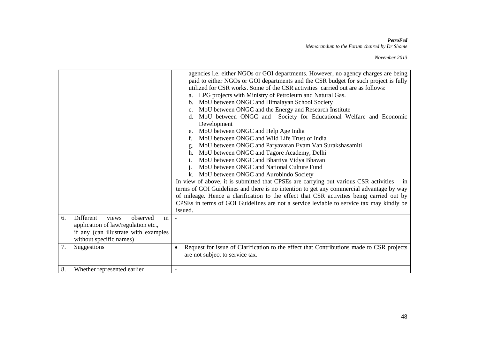|    |                                                                                                                                                | agencies i.e. either NGOs or GOI departments. However, no agency charges are being<br>paid to either NGOs or GOI departments and the CSR budget for such project is fully<br>utilized for CSR works. Some of the CSR activities carried out are as follows:<br>LPG projects with Ministry of Petroleum and Natural Gas.<br>b. MoU between ONGC and Himalayan School Society<br>MoU between ONGC and the Energy and Research Institute<br>$c_{\cdot}$<br>MoU between ONGC and Society for Educational Welfare and Economic<br>d.<br>Development<br>MoU between ONGC and Help Age India<br>MoU between ONGC and Wild Life Trust of India<br>$f_{\cdot}$<br>MoU between ONGC and Paryavaran Evam Van Surakshasamiti<br>g.<br>MoU between ONGC and Tagore Academy, Delhi<br>h.<br>MoU between ONGC and Bhartiya Vidya Bhavan<br>MoU between ONGC and National Culture Fund<br>MoU between ONGC and Aurobindo Society<br>In view of above, it is submitted that CPSEs are carrying out various CSR activities<br>1n<br>terms of GOI Guidelines and there is no intention to get any commercial advantage by way<br>of mileage. Hence a clarification to the effect that CSR activities being carried out by<br>CPSEs in terms of GOI Guidelines are not a service leviable to service tax may kindly be<br>issued. |
|----|------------------------------------------------------------------------------------------------------------------------------------------------|---------------------------------------------------------------------------------------------------------------------------------------------------------------------------------------------------------------------------------------------------------------------------------------------------------------------------------------------------------------------------------------------------------------------------------------------------------------------------------------------------------------------------------------------------------------------------------------------------------------------------------------------------------------------------------------------------------------------------------------------------------------------------------------------------------------------------------------------------------------------------------------------------------------------------------------------------------------------------------------------------------------------------------------------------------------------------------------------------------------------------------------------------------------------------------------------------------------------------------------------------------------------------------------------------------------|
| 6. | Different<br>views<br>observed<br>in<br>application of law/regulation etc.,<br>if any (can illustrate with examples<br>without specific names) |                                                                                                                                                                                                                                                                                                                                                                                                                                                                                                                                                                                                                                                                                                                                                                                                                                                                                                                                                                                                                                                                                                                                                                                                                                                                                                               |
| 7. | Suggestions                                                                                                                                    | Request for issue of Clarification to the effect that Contributions made to CSR projects<br>are not subject to service tax.                                                                                                                                                                                                                                                                                                                                                                                                                                                                                                                                                                                                                                                                                                                                                                                                                                                                                                                                                                                                                                                                                                                                                                                   |
| 8. | Whether represented earlier                                                                                                                    |                                                                                                                                                                                                                                                                                                                                                                                                                                                                                                                                                                                                                                                                                                                                                                                                                                                                                                                                                                                                                                                                                                                                                                                                                                                                                                               |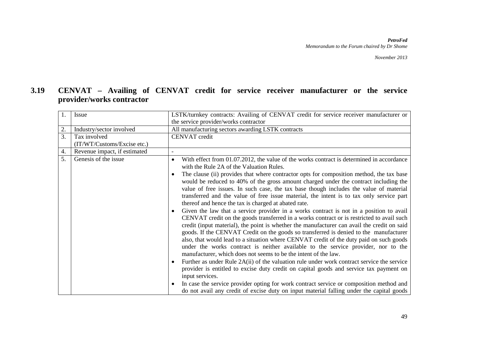### **3.19 CENVAT – Availing of CENVAT credit for service receiver manufacturer or the service provider/works contractor**

| $\overline{1}$ .<br><b>Issue</b>                 | LSTK/turnkey contracts: Availing of CENVAT credit for service receiver manufacturer or                                                                                                                                                                                                                                                                                                                                                                                                                                                                                                                                                                                                                                                                                                                                                                                                                                                                                                                                                                                                                                                                                                                                                                                                                                                                                                                                                                                                                                                                                                                                                                                         |  |  |
|--------------------------------------------------|--------------------------------------------------------------------------------------------------------------------------------------------------------------------------------------------------------------------------------------------------------------------------------------------------------------------------------------------------------------------------------------------------------------------------------------------------------------------------------------------------------------------------------------------------------------------------------------------------------------------------------------------------------------------------------------------------------------------------------------------------------------------------------------------------------------------------------------------------------------------------------------------------------------------------------------------------------------------------------------------------------------------------------------------------------------------------------------------------------------------------------------------------------------------------------------------------------------------------------------------------------------------------------------------------------------------------------------------------------------------------------------------------------------------------------------------------------------------------------------------------------------------------------------------------------------------------------------------------------------------------------------------------------------------------------|--|--|
|                                                  | the service provider/works contractor                                                                                                                                                                                                                                                                                                                                                                                                                                                                                                                                                                                                                                                                                                                                                                                                                                                                                                                                                                                                                                                                                                                                                                                                                                                                                                                                                                                                                                                                                                                                                                                                                                          |  |  |
| 2.<br>Industry/sector involved                   | All manufacturing sectors awarding LSTK contracts                                                                                                                                                                                                                                                                                                                                                                                                                                                                                                                                                                                                                                                                                                                                                                                                                                                                                                                                                                                                                                                                                                                                                                                                                                                                                                                                                                                                                                                                                                                                                                                                                              |  |  |
| 3.<br>Tax involved                               | <b>CENVAT</b> credit                                                                                                                                                                                                                                                                                                                                                                                                                                                                                                                                                                                                                                                                                                                                                                                                                                                                                                                                                                                                                                                                                                                                                                                                                                                                                                                                                                                                                                                                                                                                                                                                                                                           |  |  |
| (IT/WT/Customs/Excise etc.)                      |                                                                                                                                                                                                                                                                                                                                                                                                                                                                                                                                                                                                                                                                                                                                                                                                                                                                                                                                                                                                                                                                                                                                                                                                                                                                                                                                                                                                                                                                                                                                                                                                                                                                                |  |  |
| $\overline{4}$ .<br>Revenue impact, if estimated | $\overline{\phantom{a}}$                                                                                                                                                                                                                                                                                                                                                                                                                                                                                                                                                                                                                                                                                                                                                                                                                                                                                                                                                                                                                                                                                                                                                                                                                                                                                                                                                                                                                                                                                                                                                                                                                                                       |  |  |
| 5 <sub>1</sub><br>Genesis of the issue           | With effect from 01.07.2012, the value of the works contract is determined in accordance<br>$\bullet$<br>with the Rule 2A of the Valuation Rules.<br>The clause (ii) provides that where contractor opts for composition method, the tax base<br>$\bullet$<br>would be reduced to 40% of the gross amount charged under the contract including the<br>value of free issues. In such case, the tax base though includes the value of material<br>transferred and the value of free issue material, the intent is to tax only service part<br>thereof and hence the tax is charged at abated rate.<br>Given the law that a service provider in a works contract is not in a position to avail<br>$\bullet$<br>CENVAT credit on the goods transferred in a works contract or is restricted to avail such<br>credit (input material), the point is whether the manufacturer can avail the credit on said<br>goods. If the CENVAT Credit on the goods so transferred is denied to the manufacturer<br>also, that would lead to a situation where CENVAT credit of the duty paid on such goods<br>under the works contract is neither available to the service provider, nor to the<br>manufacturer, which does not seems to be the intent of the law.<br>Further as under Rule $2A(ii)$ of the valuation rule under work contract service the service<br>$\bullet$<br>provider is entitled to excise duty credit on capital goods and service tax payment on<br>input services.<br>In case the service provider opting for work contract service or composition method and<br>$\bullet$<br>do not avail any credit of excise duty on input material falling under the capital goods |  |  |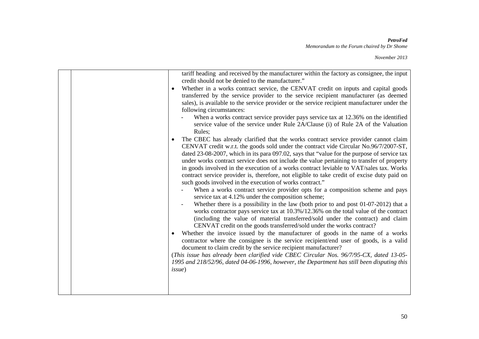| tariff heading and received by the manufacturer within the factory as consignee, the input<br>credit should not be denied to the manufacturer."<br>Whether in a works contract service, the CENVAT credit on inputs and capital goods<br>$\bullet$<br>transferred by the service provider to the service recipient manufacturer (as deemed<br>sales), is available to the service provider or the service recipient manufacturer under the<br>following circumstances:<br>When a works contract service provider pays service tax at 12.36% on the identified<br>service value of the service under Rule 2A/Clause (i) of Rule 2A of the Valuation<br>Rules;<br>The CBEC has already clarified that the works contract service provider cannot claim<br>$\bullet$<br>CENVAT credit w.r.t. the goods sold under the contract vide Circular No.96/7/2007-ST,<br>dated 23-08-2007, which in its para 097.02, says that "value for the purpose of service tax |
|-----------------------------------------------------------------------------------------------------------------------------------------------------------------------------------------------------------------------------------------------------------------------------------------------------------------------------------------------------------------------------------------------------------------------------------------------------------------------------------------------------------------------------------------------------------------------------------------------------------------------------------------------------------------------------------------------------------------------------------------------------------------------------------------------------------------------------------------------------------------------------------------------------------------------------------------------------------|
| service tax at 4.12% under the composition scheme;<br>Whether there is a possibility in the law (both prior to and post 01-07-2012) that a<br>works contractor pays service tax at 10.3%/12.36% on the total value of the contract<br>(including the value of material transferred/sold under the contract) and claim<br>CENVAT credit on the goods transferred/sold under the works contract?<br>Whether the invoice issued by the manufacturer of goods in the name of a works<br>$\bullet$<br>contractor where the consignee is the service recipient/end user of goods, is a valid<br>document to claim credit by the service recipient manufacturer?<br>(This issue has already been clarified vide CBEC Circular Nos. 96/7/95-CX, dated 13-05-<br>1995 and 218/52/96, dated 04-06-1996, however, the Department has still been disputing this<br><i>issue</i> )                                                                                     |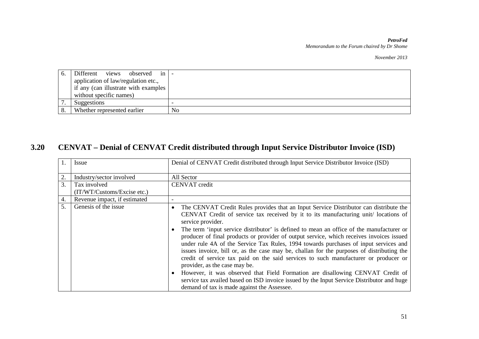*November 2013*

| O. | Different views<br>observed in       |    |
|----|--------------------------------------|----|
|    | application of law/regulation etc.,  |    |
|    | if any (can illustrate with examples |    |
|    | without specific names)              |    |
|    | Suggestions                          |    |
|    | Whether represented earlier          | No |

## **3.20 CENVAT – Denial of CENVAT Credit distributed through Input Service Distributor Invoice (ISD)**

|    | Issue                        | Denial of CENVAT Credit distributed through Input Service Distributor Invoice (ISD)                                                                                                                                                                                                                                                                                                                                                                                                                                                                                                                                                                                                                                                                                                                                                                                                                                                                                        |  |  |
|----|------------------------------|----------------------------------------------------------------------------------------------------------------------------------------------------------------------------------------------------------------------------------------------------------------------------------------------------------------------------------------------------------------------------------------------------------------------------------------------------------------------------------------------------------------------------------------------------------------------------------------------------------------------------------------------------------------------------------------------------------------------------------------------------------------------------------------------------------------------------------------------------------------------------------------------------------------------------------------------------------------------------|--|--|
| 2. | Industry/sector involved     | All Sector                                                                                                                                                                                                                                                                                                                                                                                                                                                                                                                                                                                                                                                                                                                                                                                                                                                                                                                                                                 |  |  |
| 3. | Tax involved                 | <b>CENVAT</b> credit                                                                                                                                                                                                                                                                                                                                                                                                                                                                                                                                                                                                                                                                                                                                                                                                                                                                                                                                                       |  |  |
|    | (IT/WT/Customs/Excise etc.)  |                                                                                                                                                                                                                                                                                                                                                                                                                                                                                                                                                                                                                                                                                                                                                                                                                                                                                                                                                                            |  |  |
| 4. | Revenue impact, if estimated | $\overline{\phantom{0}}$                                                                                                                                                                                                                                                                                                                                                                                                                                                                                                                                                                                                                                                                                                                                                                                                                                                                                                                                                   |  |  |
| 5. | Genesis of the issue         | The CENVAT Credit Rules provides that an Input Service Distributor can distribute the<br>$\bullet$<br>CENVAT Credit of service tax received by it to its manufacturing unit/locations of<br>service provider.<br>The term 'input service distributor' is defined to mean an office of the manufacturer or<br>$\bullet$<br>producer of final products or provider of output service, which receives invoices issued<br>under rule 4A of the Service Tax Rules, 1994 towards purchases of input services and<br>issues invoice, bill or, as the case may be, challan for the purposes of distributing the<br>credit of service tax paid on the said services to such manufacturer or producer or<br>provider, as the case may be.<br>However, it was observed that Field Formation are disallowing CENVAT Credit of<br>$\bullet$<br>service tax availed based on ISD invoice issued by the Input Service Distributor and huge<br>demand of tax is made against the Assessee. |  |  |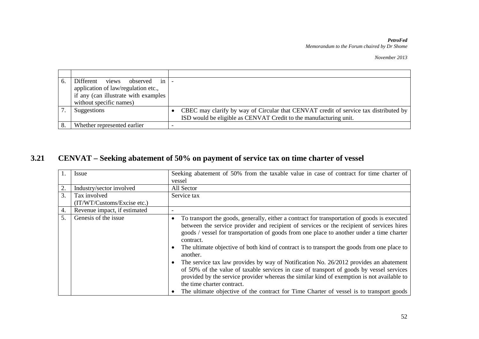*November 2013*

| Different views<br>observed in<br>application of law/regulation etc.,<br>if any (can illustrate with examples<br>without specific names) |                                                                                                                                                           |
|------------------------------------------------------------------------------------------------------------------------------------------|-----------------------------------------------------------------------------------------------------------------------------------------------------------|
| Suggestions                                                                                                                              | CBEC may clarify by way of Circular that CENVAT credit of service tax distributed by<br>ISD would be eligible as CENVAT Credit to the manufacturing unit. |
| Whether represented earlier                                                                                                              |                                                                                                                                                           |

## **3.21 CENVAT – Seeking abatement of 50% on payment of service tax on time charter of vessel**

|    | Issue                                       | Seeking abatement of 50% from the taxable value in case of contract for time charter of<br>vessel                                                                                                                                                                                                                                                                                                                                                                                                                                                                                                                                                                                                                                                                                                                                            |  |  |
|----|---------------------------------------------|----------------------------------------------------------------------------------------------------------------------------------------------------------------------------------------------------------------------------------------------------------------------------------------------------------------------------------------------------------------------------------------------------------------------------------------------------------------------------------------------------------------------------------------------------------------------------------------------------------------------------------------------------------------------------------------------------------------------------------------------------------------------------------------------------------------------------------------------|--|--|
| 2. | Industry/sector involved                    | All Sector                                                                                                                                                                                                                                                                                                                                                                                                                                                                                                                                                                                                                                                                                                                                                                                                                                   |  |  |
| 3. | Tax involved<br>(IT/WT/Customs/Excise etc.) | Service tax                                                                                                                                                                                                                                                                                                                                                                                                                                                                                                                                                                                                                                                                                                                                                                                                                                  |  |  |
| 4. | Revenue impact, if estimated                | $\overline{\phantom{0}}$                                                                                                                                                                                                                                                                                                                                                                                                                                                                                                                                                                                                                                                                                                                                                                                                                     |  |  |
| 5. | Genesis of the issue                        | To transport the goods, generally, either a contract for transportation of goods is executed<br>٠<br>between the service provider and recipient of services or the recipient of services hires<br>goods / vessel for transportation of goods from one place to another under a time charter<br>contract.<br>The ultimate objective of both kind of contract is to transport the goods from one place to<br>$\bullet$<br>another.<br>The service tax law provides by way of Notification No. 26/2012 provides an abatement<br>of 50% of the value of taxable services in case of transport of goods by vessel services<br>provided by the service provider whereas the similar kind of exemption is not available to<br>the time charter contract.<br>The ultimate objective of the contract for Time Charter of vessel is to transport goods |  |  |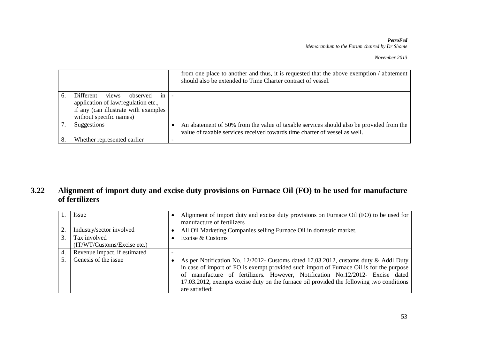*November 2013*

|    |                                                                                                                                                | from one place to another and thus, it is requested that the above exemption / abatement<br>should also be extended to Time Charter contract of vessel.               |
|----|------------------------------------------------------------------------------------------------------------------------------------------------|-----------------------------------------------------------------------------------------------------------------------------------------------------------------------|
| 6. | Different<br>views<br>observed<br>1n<br>application of law/regulation etc.,<br>if any (can illustrate with examples<br>without specific names) |                                                                                                                                                                       |
|    | Suggestions                                                                                                                                    | An abatement of 50% from the value of taxable services should also be provided from the<br>value of taxable services received towards time charter of vessel as well. |
|    | Whether represented earlier                                                                                                                    |                                                                                                                                                                       |

### **3.22 Alignment of import duty and excise duty provisions on Furnace Oil (FO) to be used for manufacture of fertilizers**

|    | Issue                                       | Alignment of import duty and excise duty provisions on Furnace Oil (FO) to be used for<br>manufacture of fertilizers                                                                                                                                                                                                                                                           |
|----|---------------------------------------------|--------------------------------------------------------------------------------------------------------------------------------------------------------------------------------------------------------------------------------------------------------------------------------------------------------------------------------------------------------------------------------|
| 2. | Industry/sector involved                    | All Oil Marketing Companies selling Furnace Oil in domestic market.                                                                                                                                                                                                                                                                                                            |
| 3. | Tax involved<br>(IT/WT/Customs/Excise etc.) | Excise & Customs                                                                                                                                                                                                                                                                                                                                                               |
| 4. | Revenue impact, if estimated                |                                                                                                                                                                                                                                                                                                                                                                                |
| 5  | Genesis of the issue                        | As per Notification No. 12/2012- Customs dated 17.03.2012, customs duty & Addl Duty<br>in case of import of FO is exempt provided such import of Furnace Oil is for the purpose<br>of manufacture of fertilizers. However, Notification No.12/2012- Excise dated<br>17.03.2012, exempts excise duty on the furnace oil provided the following two conditions<br>are satisfied: |